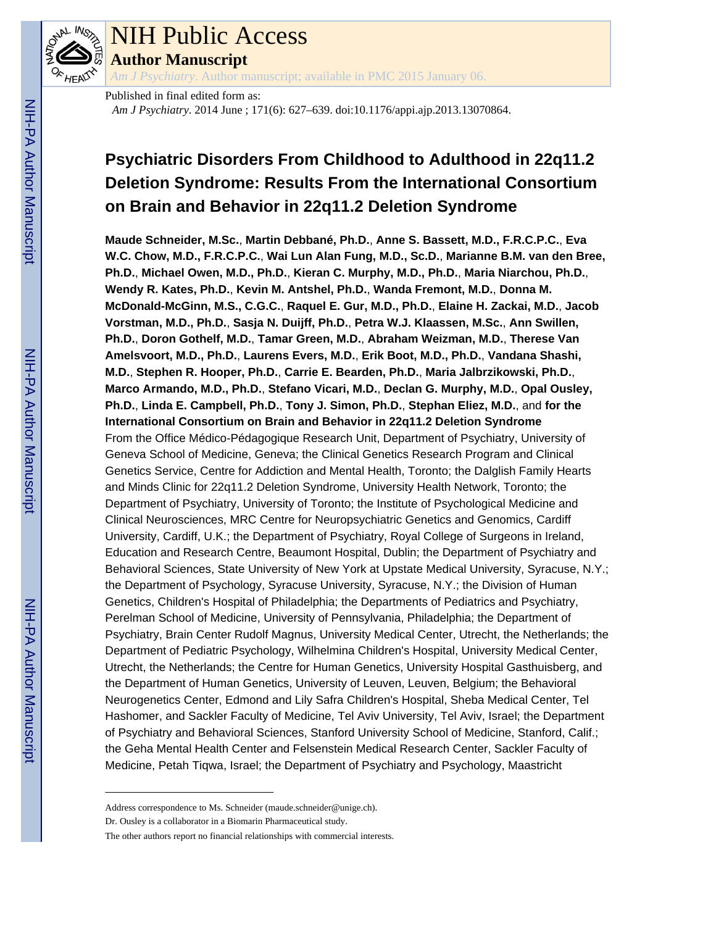

# NIH Public Access

**Author Manuscript**

*Am J Psychiatry*. Author manuscript; available in PMC 2015 January 06.

Published in final edited form as: *Am J Psychiatry*. 2014 June ; 171(6): 627–639. doi:10.1176/appi.ajp.2013.13070864.

## **Psychiatric Disorders From Childhood to Adulthood in 22q11.2 Deletion Syndrome: Results From the International Consortium on Brain and Behavior in 22q11.2 Deletion Syndrome**

**Maude Schneider, M.Sc.**, **Martin Debbané, Ph.D.**, **Anne S. Bassett, M.D., F.R.C.P.C.**, **Eva W.C. Chow, M.D., F.R.C.P.C.**, **Wai Lun Alan Fung, M.D., Sc.D.**, **Marianne B.M. van den Bree, Ph.D.**, **Michael Owen, M.D., Ph.D.**, **Kieran C. Murphy, M.D., Ph.D.**, **Maria Niarchou, Ph.D.**, **Wendy R. Kates, Ph.D.**, **Kevin M. Antshel, Ph.D.**, **Wanda Fremont, M.D.**, **Donna M. McDonald-McGinn, M.S., C.G.C.**, **Raquel E. Gur, M.D., Ph.D.**, **Elaine H. Zackai, M.D.**, **Jacob Vorstman, M.D., Ph.D.**, **Sasja N. Duijff, Ph.D.**, **Petra W.J. Klaassen, M.Sc.**, **Ann Swillen, Ph.D.**, **Doron Gothelf, M.D.**, **Tamar Green, M.D.**, **Abraham Weizman, M.D.**, **Therese Van Amelsvoort, M.D., Ph.D.**, **Laurens Evers, M.D.**, **Erik Boot, M.D., Ph.D.**, **Vandana Shashi, M.D.**, **Stephen R. Hooper, Ph.D.**, **Carrie E. Bearden, Ph.D.**, **Maria Jalbrzikowski, Ph.D.**, **Marco Armando, M.D., Ph.D.**, **Stefano Vicari, M.D.**, **Declan G. Murphy, M.D.**, **Opal Ousley, Ph.D.**, **Linda E. Campbell, Ph.D.**, **Tony J. Simon, Ph.D.**, **Stephan Eliez, M.D.**, and **for the International Consortium on Brain and Behavior in 22q11.2 Deletion Syndrome** From the Office Médico-Pédagogique Research Unit, Department of Psychiatry, University of Geneva School of Medicine, Geneva; the Clinical Genetics Research Program and Clinical Genetics Service, Centre for Addiction and Mental Health, Toronto; the Dalglish Family Hearts and Minds Clinic for 22q11.2 Deletion Syndrome, University Health Network, Toronto; the Department of Psychiatry, University of Toronto; the Institute of Psychological Medicine and Clinical Neurosciences, MRC Centre for Neuropsychiatric Genetics and Genomics, Cardiff University, Cardiff, U.K.; the Department of Psychiatry, Royal College of Surgeons in Ireland, Education and Research Centre, Beaumont Hospital, Dublin; the Department of Psychiatry and Behavioral Sciences, State University of New York at Upstate Medical University, Syracuse, N.Y.; the Department of Psychology, Syracuse University, Syracuse, N.Y.; the Division of Human Genetics, Children's Hospital of Philadelphia; the Departments of Pediatrics and Psychiatry, Perelman School of Medicine, University of Pennsylvania, Philadelphia; the Department of Psychiatry, Brain Center Rudolf Magnus, University Medical Center, Utrecht, the Netherlands; the Department of Pediatric Psychology, Wilhelmina Children's Hospital, University Medical Center, Utrecht, the Netherlands; the Centre for Human Genetics, University Hospital Gasthuisberg, and the Department of Human Genetics, University of Leuven, Leuven, Belgium; the Behavioral Neurogenetics Center, Edmond and Lily Safra Children's Hospital, Sheba Medical Center, Tel Hashomer, and Sackler Faculty of Medicine, Tel Aviv University, Tel Aviv, Israel; the Department of Psychiatry and Behavioral Sciences, Stanford University School of Medicine, Stanford, Calif.; the Geha Mental Health Center and Felsenstein Medical Research Center, Sackler Faculty of Medicine, Petah Tiqwa, Israel; the Department of Psychiatry and Psychology, Maastricht

Address correspondence to Ms. Schneider (maude.schneider@unige.ch).

Dr. Ousley is a collaborator in a Biomarin Pharmaceutical study.

The other authors report no financial relationships with commercial interests.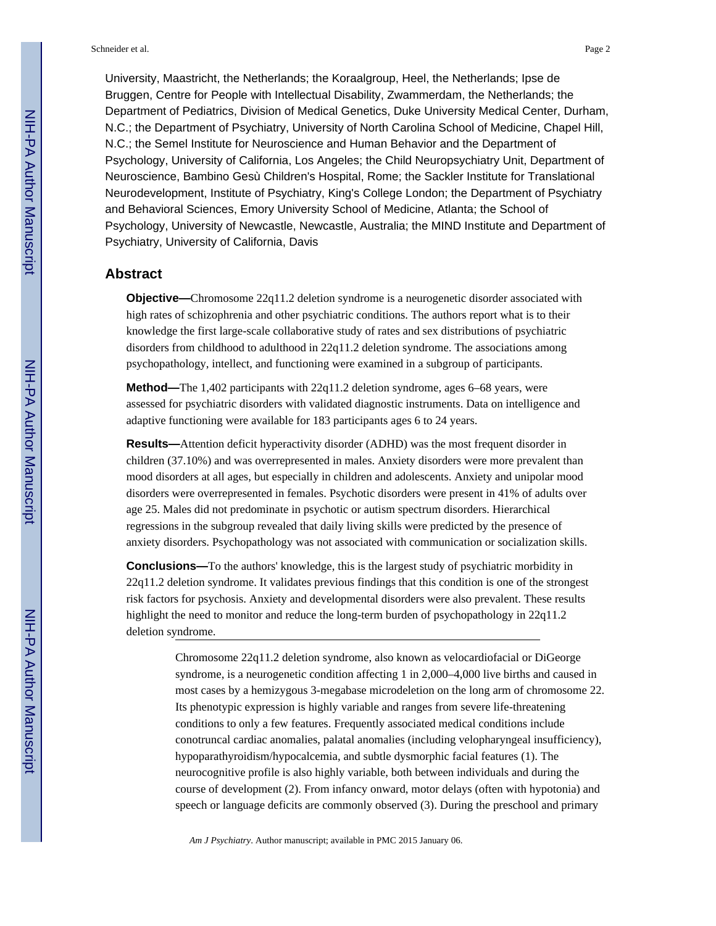University, Maastricht, the Netherlands; the Koraalgroup, Heel, the Netherlands; Ipse de Bruggen, Centre for People with Intellectual Disability, Zwammerdam, the Netherlands; the Department of Pediatrics, Division of Medical Genetics, Duke University Medical Center, Durham, N.C.; the Department of Psychiatry, University of North Carolina School of Medicine, Chapel Hill, N.C.; the Semel Institute for Neuroscience and Human Behavior and the Department of Psychology, University of California, Los Angeles; the Child Neuropsychiatry Unit, Department of Neuroscience, Bambino Gesù Children's Hospital, Rome; the Sackler Institute for Translational Neurodevelopment, Institute of Psychiatry, King's College London; the Department of Psychiatry and Behavioral Sciences, Emory University School of Medicine, Atlanta; the School of Psychology, University of Newcastle, Newcastle, Australia; the MIND Institute and Department of Psychiatry, University of California, Davis

#### **Abstract**

**Objective—**Chromosome 22q11.2 deletion syndrome is a neurogenetic disorder associated with high rates of schizophrenia and other psychiatric conditions. The authors report what is to their knowledge the first large-scale collaborative study of rates and sex distributions of psychiatric disorders from childhood to adulthood in 22q11.2 deletion syndrome. The associations among psychopathology, intellect, and functioning were examined in a subgroup of participants.

**Method—**The 1,402 participants with 22q11.2 deletion syndrome, ages 6–68 years, were assessed for psychiatric disorders with validated diagnostic instruments. Data on intelligence and adaptive functioning were available for 183 participants ages 6 to 24 years.

**Results—**Attention deficit hyperactivity disorder (ADHD) was the most frequent disorder in children (37.10%) and was overrepresented in males. Anxiety disorders were more prevalent than mood disorders at all ages, but especially in children and adolescents. Anxiety and unipolar mood disorders were overrepresented in females. Psychotic disorders were present in 41% of adults over age 25. Males did not predominate in psychotic or autism spectrum disorders. Hierarchical regressions in the subgroup revealed that daily living skills were predicted by the presence of anxiety disorders. Psychopathology was not associated with communication or socialization skills.

**Conclusions—**To the authors' knowledge, this is the largest study of psychiatric morbidity in 22q11.2 deletion syndrome. It validates previous findings that this condition is one of the strongest risk factors for psychosis. Anxiety and developmental disorders were also prevalent. These results highlight the need to monitor and reduce the long-term burden of psychopathology in 22q11.2 deletion syndrome.

> Chromosome 22q11.2 deletion syndrome, also known as velocardiofacial or DiGeorge syndrome, is a neurogenetic condition affecting 1 in 2,000–4,000 live births and caused in most cases by a hemizygous 3-megabase microdeletion on the long arm of chromosome 22. Its phenotypic expression is highly variable and ranges from severe life-threatening conditions to only a few features. Frequently associated medical conditions include conotruncal cardiac anomalies, palatal anomalies (including velopharyngeal insufficiency), hypoparathyroidism/hypocalcemia, and subtle dysmorphic facial features (1). The neurocognitive profile is also highly variable, both between individuals and during the course of development (2). From infancy onward, motor delays (often with hypotonia) and speech or language deficits are commonly observed (3). During the preschool and primary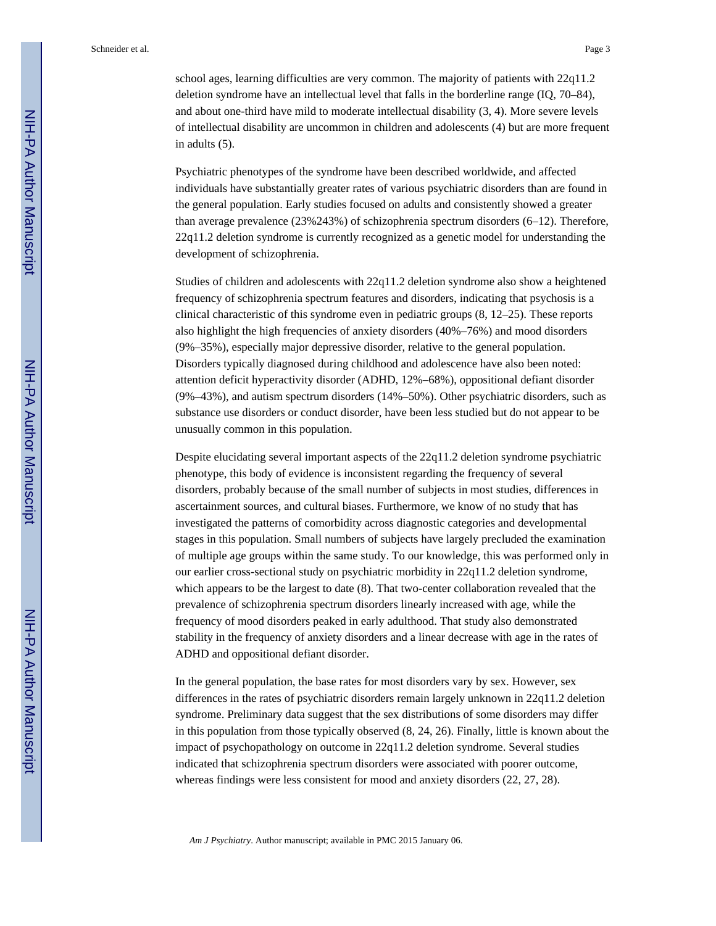school ages, learning difficulties are very common. The majority of patients with 22q11.2 deletion syndrome have an intellectual level that falls in the borderline range (IQ, 70–84), and about one-third have mild to moderate intellectual disability (3, 4). More severe levels of intellectual disability are uncommon in children and adolescents (4) but are more frequent in adults (5).

Psychiatric phenotypes of the syndrome have been described worldwide, and affected individuals have substantially greater rates of various psychiatric disorders than are found in the general population. Early studies focused on adults and consistently showed a greater than average prevalence (23%243%) of schizophrenia spectrum disorders (6–12). Therefore, 22q11.2 deletion syndrome is currently recognized as a genetic model for understanding the development of schizophrenia.

Studies of children and adolescents with 22q11.2 deletion syndrome also show a heightened frequency of schizophrenia spectrum features and disorders, indicating that psychosis is a clinical characteristic of this syndrome even in pediatric groups (8, 12–25). These reports also highlight the high frequencies of anxiety disorders (40%–76%) and mood disorders (9%–35%), especially major depressive disorder, relative to the general population. Disorders typically diagnosed during childhood and adolescence have also been noted: attention deficit hyperactivity disorder (ADHD, 12%–68%), oppositional defiant disorder (9%–43%), and autism spectrum disorders (14%–50%). Other psychiatric disorders, such as substance use disorders or conduct disorder, have been less studied but do not appear to be unusually common in this population.

Despite elucidating several important aspects of the 22q11.2 deletion syndrome psychiatric phenotype, this body of evidence is inconsistent regarding the frequency of several disorders, probably because of the small number of subjects in most studies, differences in ascertainment sources, and cultural biases. Furthermore, we know of no study that has investigated the patterns of comorbidity across diagnostic categories and developmental stages in this population. Small numbers of subjects have largely precluded the examination of multiple age groups within the same study. To our knowledge, this was performed only in our earlier cross-sectional study on psychiatric morbidity in 22q11.2 deletion syndrome, which appears to be the largest to date (8). That two-center collaboration revealed that the prevalence of schizophrenia spectrum disorders linearly increased with age, while the frequency of mood disorders peaked in early adulthood. That study also demonstrated stability in the frequency of anxiety disorders and a linear decrease with age in the rates of ADHD and oppositional defiant disorder.

In the general population, the base rates for most disorders vary by sex. However, sex differences in the rates of psychiatric disorders remain largely unknown in 22q11.2 deletion syndrome. Preliminary data suggest that the sex distributions of some disorders may differ in this population from those typically observed (8, 24, 26). Finally, little is known about the impact of psychopathology on outcome in 22q11.2 deletion syndrome. Several studies indicated that schizophrenia spectrum disorders were associated with poorer outcome, whereas findings were less consistent for mood and anxiety disorders (22, 27, 28).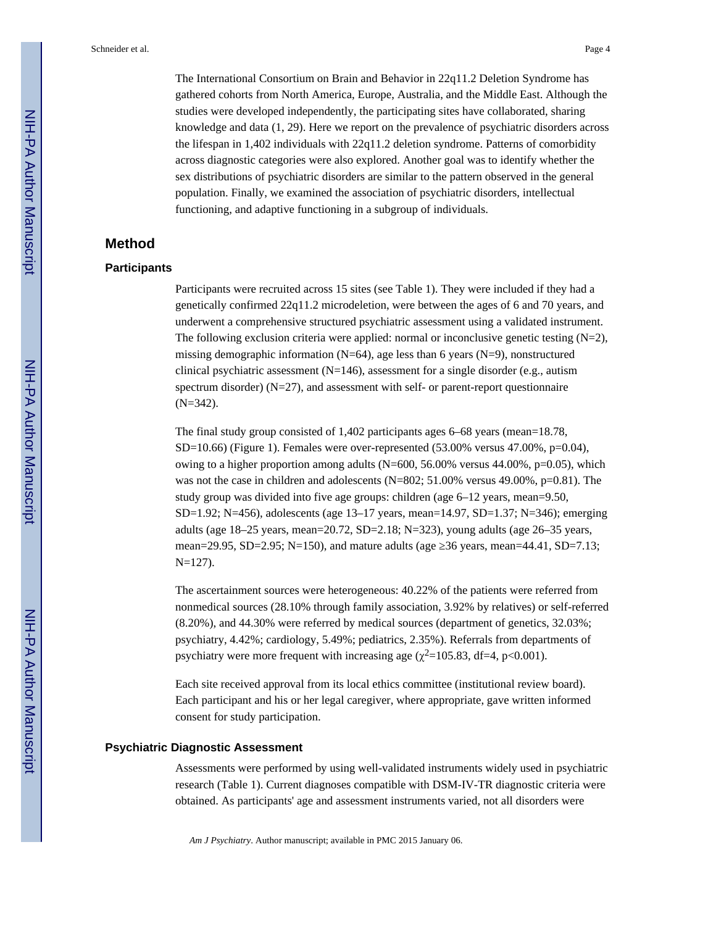The International Consortium on Brain and Behavior in 22q11.2 Deletion Syndrome has gathered cohorts from North America, Europe, Australia, and the Middle East. Although the studies were developed independently, the participating sites have collaborated, sharing knowledge and data (1, 29). Here we report on the prevalence of psychiatric disorders across the lifespan in 1,402 individuals with 22q11.2 deletion syndrome. Patterns of comorbidity across diagnostic categories were also explored. Another goal was to identify whether the sex distributions of psychiatric disorders are similar to the pattern observed in the general population. Finally, we examined the association of psychiatric disorders, intellectual functioning, and adaptive functioning in a subgroup of individuals.

#### **Method**

#### **Participants**

Participants were recruited across 15 sites (see Table 1). They were included if they had a genetically confirmed 22q11.2 microdeletion, were between the ages of 6 and 70 years, and underwent a comprehensive structured psychiatric assessment using a validated instrument. The following exclusion criteria were applied: normal or inconclusive genetic testing  $(N=2)$ , missing demographic information ( $N=64$ ), age less than 6 years ( $N=9$ ), nonstructured clinical psychiatric assessment (N=146), assessment for a single disorder (e.g., autism spectrum disorder)  $(N=27)$ , and assessment with self- or parent-report questionnaire (N=342).

The final study group consisted of 1,402 participants ages 6–68 years (mean=18.78,  $SD=10.66$ ) (Figure 1). Females were over-represented (53.00% versus 47.00%, p=0.04), owing to a higher proportion among adults  $(N=600, 56.00\%$  versus 44.00%, p=0.05), which was not the case in children and adolescents (N=802; 51.00% versus 49.00%, p=0.81). The study group was divided into five age groups: children (age 6–12 years, mean=9.50, SD=1.92; N=456), adolescents (age 13–17 years, mean=14.97, SD=1.37; N=346); emerging adults (age 18–25 years, mean=20.72, SD=2.18; N=323), young adults (age 26–35 years, mean=29.95, SD=2.95; N=150), and mature adults (age 36 years, mean=44.41, SD=7.13; N=127).

The ascertainment sources were heterogeneous: 40.22% of the patients were referred from nonmedical sources (28.10% through family association, 3.92% by relatives) or self-referred (8.20%), and 44.30% were referred by medical sources (department of genetics, 32.03%; psychiatry, 4.42%; cardiology, 5.49%; pediatrics, 2.35%). Referrals from departments of psychiatry were more frequent with increasing age ( $\chi^2$ =105.83, df=4, p<0.001).

Each site received approval from its local ethics committee (institutional review board). Each participant and his or her legal caregiver, where appropriate, gave written informed consent for study participation.

#### **Psychiatric Diagnostic Assessment**

Assessments were performed by using well-validated instruments widely used in psychiatric research (Table 1). Current diagnoses compatible with DSM-IV-TR diagnostic criteria were obtained. As participants' age and assessment instruments varied, not all disorders were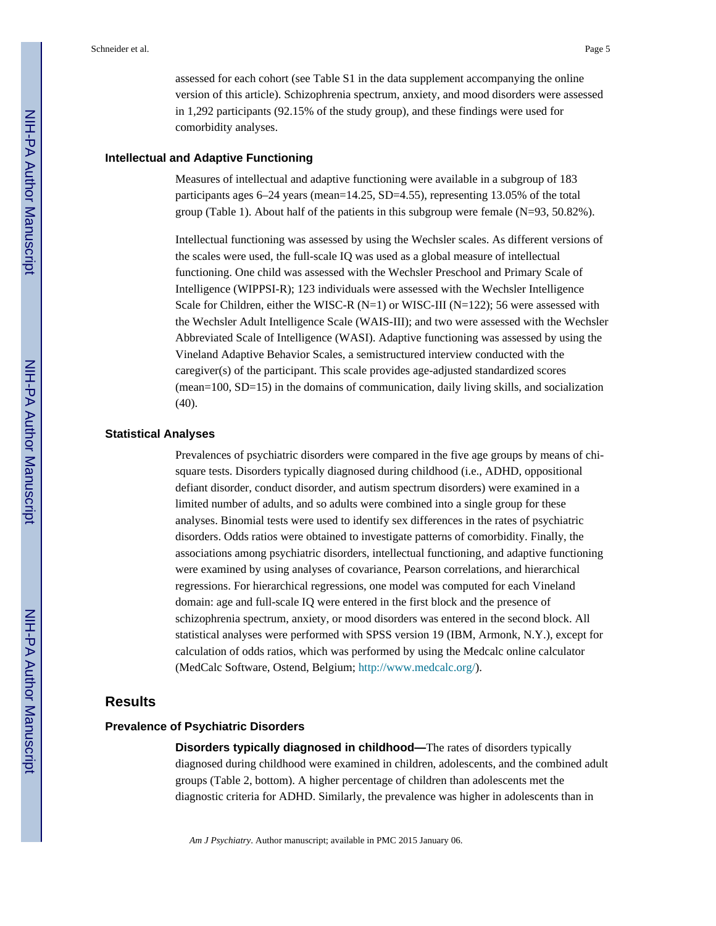assessed for each cohort (see Table S1 in the data supplement accompanying the online version of this article). Schizophrenia spectrum, anxiety, and mood disorders were assessed in 1,292 participants (92.15% of the study group), and these findings were used for comorbidity analyses.

#### **Intellectual and Adaptive Functioning**

Measures of intellectual and adaptive functioning were available in a subgroup of 183 participants ages 6–24 years (mean=14.25, SD=4.55), representing 13.05% of the total group (Table 1). About half of the patients in this subgroup were female (N=93, 50.82%).

Intellectual functioning was assessed by using the Wechsler scales. As different versions of the scales were used, the full-scale IQ was used as a global measure of intellectual functioning. One child was assessed with the Wechsler Preschool and Primary Scale of Intelligence (WIPPSI-R); 123 individuals were assessed with the Wechsler Intelligence Scale for Children, either the WISC-R  $(N=1)$  or WISC-III  $(N=122)$ ; 56 were assessed with the Wechsler Adult Intelligence Scale (WAIS-III); and two were assessed with the Wechsler Abbreviated Scale of Intelligence (WASI). Adaptive functioning was assessed by using the Vineland Adaptive Behavior Scales, a semistructured interview conducted with the caregiver(s) of the participant. This scale provides age-adjusted standardized scores (mean=100, SD=15) in the domains of communication, daily living skills, and socialization (40).

#### **Statistical Analyses**

Prevalences of psychiatric disorders were compared in the five age groups by means of chisquare tests. Disorders typically diagnosed during childhood (i.e., ADHD, oppositional defiant disorder, conduct disorder, and autism spectrum disorders) were examined in a limited number of adults, and so adults were combined into a single group for these analyses. Binomial tests were used to identify sex differences in the rates of psychiatric disorders. Odds ratios were obtained to investigate patterns of comorbidity. Finally, the associations among psychiatric disorders, intellectual functioning, and adaptive functioning were examined by using analyses of covariance, Pearson correlations, and hierarchical regressions. For hierarchical regressions, one model was computed for each Vineland domain: age and full-scale IQ were entered in the first block and the presence of schizophrenia spectrum, anxiety, or mood disorders was entered in the second block. All statistical analyses were performed with SPSS version 19 (IBM, Armonk, N.Y.), except for calculation of odds ratios, which was performed by using the Medcalc online calculator (MedCalc Software, Ostend, Belgium; [http://www.medcalc.org/\)](http://www.medcalc.org/).

#### **Results**

#### **Prevalence of Psychiatric Disorders**

**Disorders typically diagnosed in childhood—**The rates of disorders typically diagnosed during childhood were examined in children, adolescents, and the combined adult groups (Table 2, bottom). A higher percentage of children than adolescents met the diagnostic criteria for ADHD. Similarly, the prevalence was higher in adolescents than in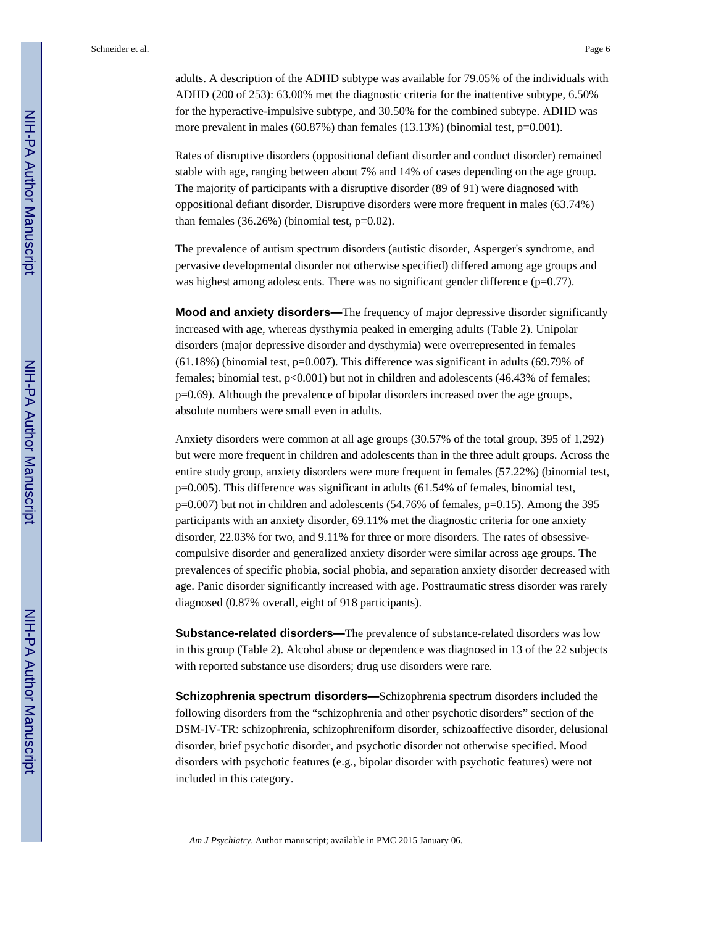adults. A description of the ADHD subtype was available for 79.05% of the individuals with ADHD (200 of 253): 63.00% met the diagnostic criteria for the inattentive subtype, 6.50% for the hyperactive-impulsive subtype, and 30.50% for the combined subtype. ADHD was more prevalent in males (60.87%) than females (13.13%) (binomial test, p=0.001).

Rates of disruptive disorders (oppositional defiant disorder and conduct disorder) remained stable with age, ranging between about 7% and 14% of cases depending on the age group. The majority of participants with a disruptive disorder (89 of 91) were diagnosed with oppositional defiant disorder. Disruptive disorders were more frequent in males (63.74%) than females  $(36.26\%)$  (binomial test,  $p=0.02$ ).

The prevalence of autism spectrum disorders (autistic disorder, Asperger's syndrome, and pervasive developmental disorder not otherwise specified) differed among age groups and was highest among adolescents. There was no significant gender difference (p=0.77).

**Mood and anxiety disorders—**The frequency of major depressive disorder significantly increased with age, whereas dysthymia peaked in emerging adults (Table 2). Unipolar disorders (major depressive disorder and dysthymia) were overrepresented in females  $(61.18%)$  (binomial test, p=0.007). This difference was significant in adults  $(69.79%$  of females; binomial test,  $p<0.001$ ) but not in children and adolescents (46.43% of females; p=0.69). Although the prevalence of bipolar disorders increased over the age groups, absolute numbers were small even in adults.

Anxiety disorders were common at all age groups (30.57% of the total group, 395 of 1,292) but were more frequent in children and adolescents than in the three adult groups. Across the entire study group, anxiety disorders were more frequent in females (57.22%) (binomial test, p=0.005). This difference was significant in adults (61.54% of females, binomial test,  $p=0.007$ ) but not in children and adolescents (54.76% of females,  $p=0.15$ ). Among the 395 participants with an anxiety disorder, 69.11% met the diagnostic criteria for one anxiety disorder, 22.03% for two, and 9.11% for three or more disorders. The rates of obsessivecompulsive disorder and generalized anxiety disorder were similar across age groups. The prevalences of specific phobia, social phobia, and separation anxiety disorder decreased with age. Panic disorder significantly increased with age. Posttraumatic stress disorder was rarely diagnosed (0.87% overall, eight of 918 participants).

**Substance-related disorders—**The prevalence of substance-related disorders was low in this group (Table 2). Alcohol abuse or dependence was diagnosed in 13 of the 22 subjects with reported substance use disorders; drug use disorders were rare.

**Schizophrenia spectrum disorders—**Schizophrenia spectrum disorders included the following disorders from the "schizophrenia and other psychotic disorders" section of the DSM-IV-TR: schizophrenia, schizophreniform disorder, schizoaffective disorder, delusional disorder, brief psychotic disorder, and psychotic disorder not otherwise specified. Mood disorders with psychotic features (e.g., bipolar disorder with psychotic features) were not included in this category.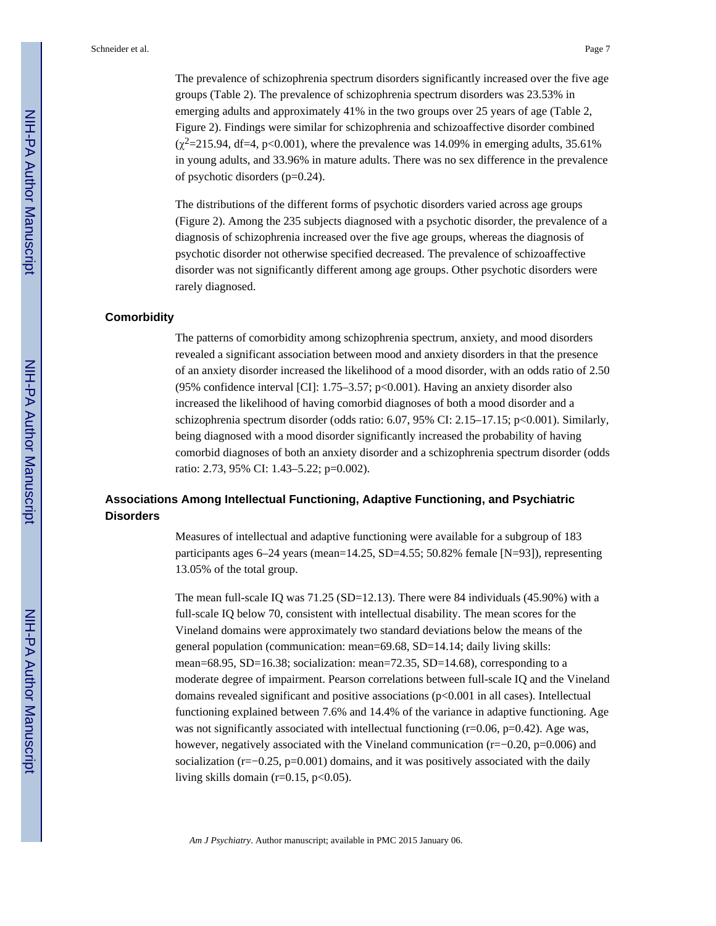The prevalence of schizophrenia spectrum disorders significantly increased over the five age groups (Table 2). The prevalence of schizophrenia spectrum disorders was 23.53% in emerging adults and approximately 41% in the two groups over 25 years of age (Table 2, Figure 2). Findings were similar for schizophrenia and schizoaffective disorder combined  $(\chi^2=215.94, df=4, p<0.001)$ , where the prevalence was 14.09% in emerging adults, 35.61% in young adults, and 33.96% in mature adults. There was no sex difference in the prevalence of psychotic disorders (p=0.24).

The distributions of the different forms of psychotic disorders varied across age groups (Figure 2). Among the 235 subjects diagnosed with a psychotic disorder, the prevalence of a diagnosis of schizophrenia increased over the five age groups, whereas the diagnosis of psychotic disorder not otherwise specified decreased. The prevalence of schizoaffective disorder was not significantly different among age groups. Other psychotic disorders were rarely diagnosed.

#### **Comorbidity**

The patterns of comorbidity among schizophrenia spectrum, anxiety, and mood disorders revealed a significant association between mood and anxiety disorders in that the presence of an anxiety disorder increased the likelihood of a mood disorder, with an odds ratio of 2.50 (95% confidence interval [CI]: 1.75–3.57; p<0.001). Having an anxiety disorder also increased the likelihood of having comorbid diagnoses of both a mood disorder and a schizophrenia spectrum disorder (odds ratio:  $6.07, 95\%$  CI:  $2.15-17.15$ ; p $<0.001$ ). Similarly, being diagnosed with a mood disorder significantly increased the probability of having comorbid diagnoses of both an anxiety disorder and a schizophrenia spectrum disorder (odds ratio: 2.73, 95% CI: 1.43–5.22; p=0.002).

#### **Associations Among Intellectual Functioning, Adaptive Functioning, and Psychiatric Disorders**

Measures of intellectual and adaptive functioning were available for a subgroup of 183 participants ages 6–24 years (mean=14.25, SD=4.55; 50.82% female [N=93]), representing 13.05% of the total group.

The mean full-scale IQ was 71.25 (SD=12.13). There were 84 individuals (45.90%) with a full-scale IQ below 70, consistent with intellectual disability. The mean scores for the Vineland domains were approximately two standard deviations below the means of the general population (communication: mean=69.68, SD=14.14; daily living skills: mean=68.95, SD=16.38; socialization: mean=72.35, SD=14.68), corresponding to a moderate degree of impairment. Pearson correlations between full-scale IQ and the Vineland domains revealed significant and positive associations ( $p<0.001$  in all cases). Intellectual functioning explained between 7.6% and 14.4% of the variance in adaptive functioning. Age was not significantly associated with intellectual functioning  $(r=0.06, p=0.42)$ . Age was, however, negatively associated with the Vineland communication (r=−0.20, p=0.006) and socialization ( $r=-0.25$ ,  $p=0.001$ ) domains, and it was positively associated with the daily living skills domain ( $r=0.15$ ,  $p<0.05$ ).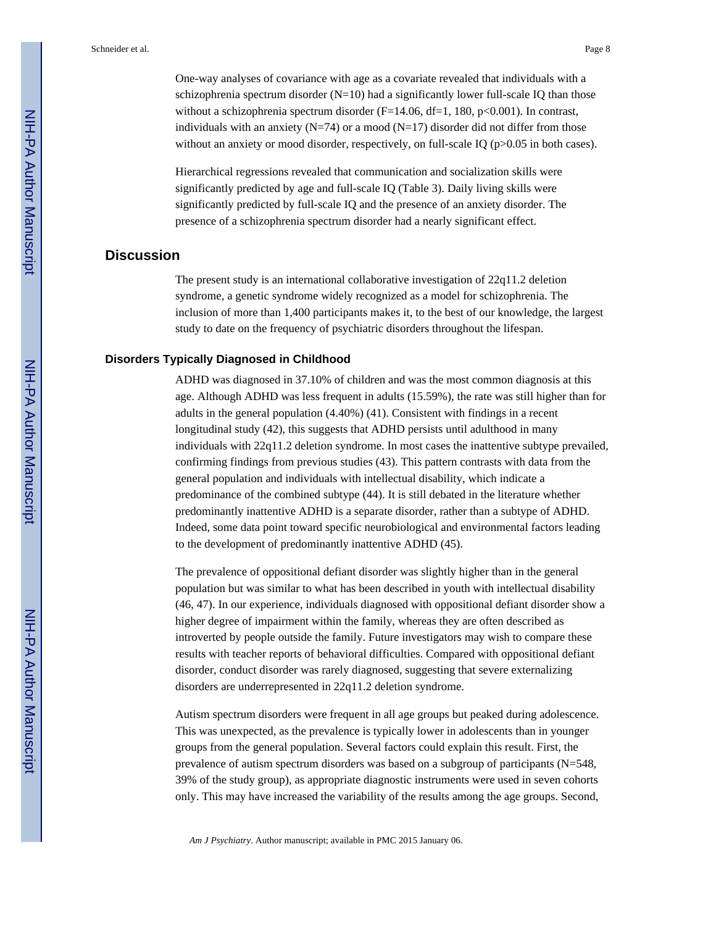One-way analyses of covariance with age as a covariate revealed that individuals with a schizophrenia spectrum disorder  $(N=10)$  had a significantly lower full-scale IQ than those without a schizophrenia spectrum disorder  $(F=14.06, df=1, 180, p<0.001)$ . In contrast, individuals with an anxiety ( $N=74$ ) or a mood ( $N=17$ ) disorder did not differ from those without an anxiety or mood disorder, respectively, on full-scale IQ ( $p > 0.05$  in both cases).

Hierarchical regressions revealed that communication and socialization skills were significantly predicted by age and full-scale IQ (Table 3). Daily living skills were significantly predicted by full-scale IQ and the presence of an anxiety disorder. The presence of a schizophrenia spectrum disorder had a nearly significant effect.

#### **Discussion**

The present study is an international collaborative investigation of 22q11.2 deletion syndrome, a genetic syndrome widely recognized as a model for schizophrenia. The inclusion of more than 1,400 participants makes it, to the best of our knowledge, the largest study to date on the frequency of psychiatric disorders throughout the lifespan.

#### **Disorders Typically Diagnosed in Childhood**

ADHD was diagnosed in 37.10% of children and was the most common diagnosis at this age. Although ADHD was less frequent in adults (15.59%), the rate was still higher than for adults in the general population (4.40%) (41). Consistent with findings in a recent longitudinal study (42), this suggests that ADHD persists until adulthood in many individuals with 22q11.2 deletion syndrome. In most cases the inattentive subtype prevailed, confirming findings from previous studies (43). This pattern contrasts with data from the general population and individuals with intellectual disability, which indicate a predominance of the combined subtype (44). It is still debated in the literature whether predominantly inattentive ADHD is a separate disorder, rather than a subtype of ADHD. Indeed, some data point toward specific neurobiological and environmental factors leading to the development of predominantly inattentive ADHD (45).

The prevalence of oppositional defiant disorder was slightly higher than in the general population but was similar to what has been described in youth with intellectual disability (46, 47). In our experience, individuals diagnosed with oppositional defiant disorder show a higher degree of impairment within the family, whereas they are often described as introverted by people outside the family. Future investigators may wish to compare these results with teacher reports of behavioral difficulties. Compared with oppositional defiant disorder, conduct disorder was rarely diagnosed, suggesting that severe externalizing disorders are underrepresented in 22q11.2 deletion syndrome.

Autism spectrum disorders were frequent in all age groups but peaked during adolescence. This was unexpected, as the prevalence is typically lower in adolescents than in younger groups from the general population. Several factors could explain this result. First, the prevalence of autism spectrum disorders was based on a subgroup of participants (N=548, 39% of the study group), as appropriate diagnostic instruments were used in seven cohorts only. This may have increased the variability of the results among the age groups. Second,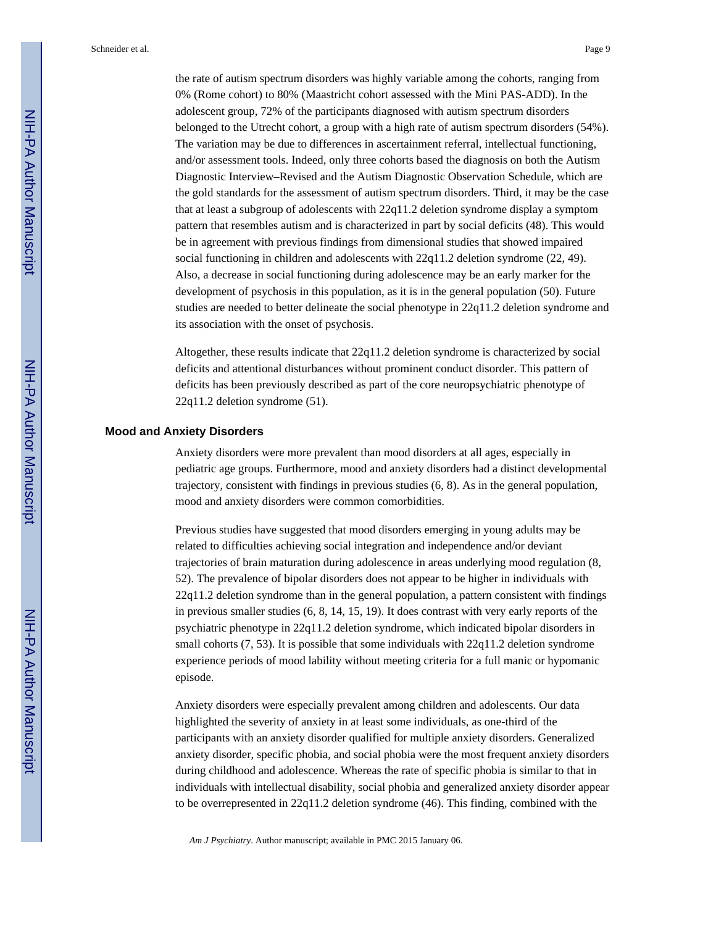the rate of autism spectrum disorders was highly variable among the cohorts, ranging from 0% (Rome cohort) to 80% (Maastricht cohort assessed with the Mini PAS-ADD). In the adolescent group, 72% of the participants diagnosed with autism spectrum disorders belonged to the Utrecht cohort, a group with a high rate of autism spectrum disorders (54%). The variation may be due to differences in ascertainment referral, intellectual functioning, and/or assessment tools. Indeed, only three cohorts based the diagnosis on both the Autism Diagnostic Interview–Revised and the Autism Diagnostic Observation Schedule, which are the gold standards for the assessment of autism spectrum disorders. Third, it may be the case that at least a subgroup of adolescents with 22q11.2 deletion syndrome display a symptom pattern that resembles autism and is characterized in part by social deficits (48). This would be in agreement with previous findings from dimensional studies that showed impaired social functioning in children and adolescents with 22q11.2 deletion syndrome (22, 49). Also, a decrease in social functioning during adolescence may be an early marker for the development of psychosis in this population, as it is in the general population (50). Future studies are needed to better delineate the social phenotype in 22q11.2 deletion syndrome and its association with the onset of psychosis.

Altogether, these results indicate that 22q11.2 deletion syndrome is characterized by social deficits and attentional disturbances without prominent conduct disorder. This pattern of deficits has been previously described as part of the core neuropsychiatric phenotype of 22q11.2 deletion syndrome (51).

#### **Mood and Anxiety Disorders**

Anxiety disorders were more prevalent than mood disorders at all ages, especially in pediatric age groups. Furthermore, mood and anxiety disorders had a distinct developmental trajectory, consistent with findings in previous studies (6, 8). As in the general population, mood and anxiety disorders were common comorbidities.

Previous studies have suggested that mood disorders emerging in young adults may be related to difficulties achieving social integration and independence and/or deviant trajectories of brain maturation during adolescence in areas underlying mood regulation (8, 52). The prevalence of bipolar disorders does not appear to be higher in individuals with 22q11.2 deletion syndrome than in the general population, a pattern consistent with findings in previous smaller studies (6, 8, 14, 15, 19). It does contrast with very early reports of the psychiatric phenotype in 22q11.2 deletion syndrome, which indicated bipolar disorders in small cohorts (7, 53). It is possible that some individuals with 22q11.2 deletion syndrome experience periods of mood lability without meeting criteria for a full manic or hypomanic episode.

Anxiety disorders were especially prevalent among children and adolescents. Our data highlighted the severity of anxiety in at least some individuals, as one-third of the participants with an anxiety disorder qualified for multiple anxiety disorders. Generalized anxiety disorder, specific phobia, and social phobia were the most frequent anxiety disorders during childhood and adolescence. Whereas the rate of specific phobia is similar to that in individuals with intellectual disability, social phobia and generalized anxiety disorder appear to be overrepresented in 22q11.2 deletion syndrome (46). This finding, combined with the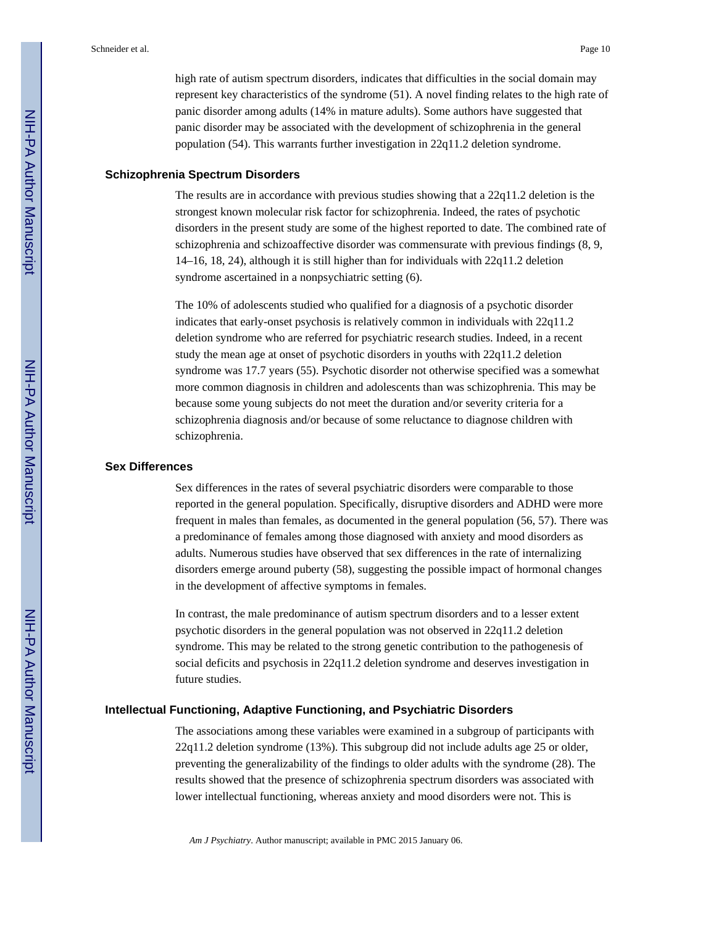high rate of autism spectrum disorders, indicates that difficulties in the social domain may represent key characteristics of the syndrome (51). A novel finding relates to the high rate of panic disorder among adults (14% in mature adults). Some authors have suggested that panic disorder may be associated with the development of schizophrenia in the general population (54). This warrants further investigation in 22q11.2 deletion syndrome.

#### **Schizophrenia Spectrum Disorders**

The results are in accordance with previous studies showing that a 22q11.2 deletion is the strongest known molecular risk factor for schizophrenia. Indeed, the rates of psychotic disorders in the present study are some of the highest reported to date. The combined rate of schizophrenia and schizoaffective disorder was commensurate with previous findings (8, 9, 14–16, 18, 24), although it is still higher than for individuals with 22q11.2 deletion syndrome ascertained in a nonpsychiatric setting (6).

The 10% of adolescents studied who qualified for a diagnosis of a psychotic disorder indicates that early-onset psychosis is relatively common in individuals with 22q11.2 deletion syndrome who are referred for psychiatric research studies. Indeed, in a recent study the mean age at onset of psychotic disorders in youths with 22q11.2 deletion syndrome was 17.7 years (55). Psychotic disorder not otherwise specified was a somewhat more common diagnosis in children and adolescents than was schizophrenia. This may be because some young subjects do not meet the duration and/or severity criteria for a schizophrenia diagnosis and/or because of some reluctance to diagnose children with schizophrenia.

#### **Sex Differences**

Sex differences in the rates of several psychiatric disorders were comparable to those reported in the general population. Specifically, disruptive disorders and ADHD were more frequent in males than females, as documented in the general population (56, 57). There was a predominance of females among those diagnosed with anxiety and mood disorders as adults. Numerous studies have observed that sex differences in the rate of internalizing disorders emerge around puberty (58), suggesting the possible impact of hormonal changes in the development of affective symptoms in females.

In contrast, the male predominance of autism spectrum disorders and to a lesser extent psychotic disorders in the general population was not observed in 22q11.2 deletion syndrome. This may be related to the strong genetic contribution to the pathogenesis of social deficits and psychosis in 22q11.2 deletion syndrome and deserves investigation in future studies.

#### **Intellectual Functioning, Adaptive Functioning, and Psychiatric Disorders**

The associations among these variables were examined in a subgroup of participants with 22q11.2 deletion syndrome (13%). This subgroup did not include adults age 25 or older, preventing the generalizability of the findings to older adults with the syndrome (28). The results showed that the presence of schizophrenia spectrum disorders was associated with lower intellectual functioning, whereas anxiety and mood disorders were not. This is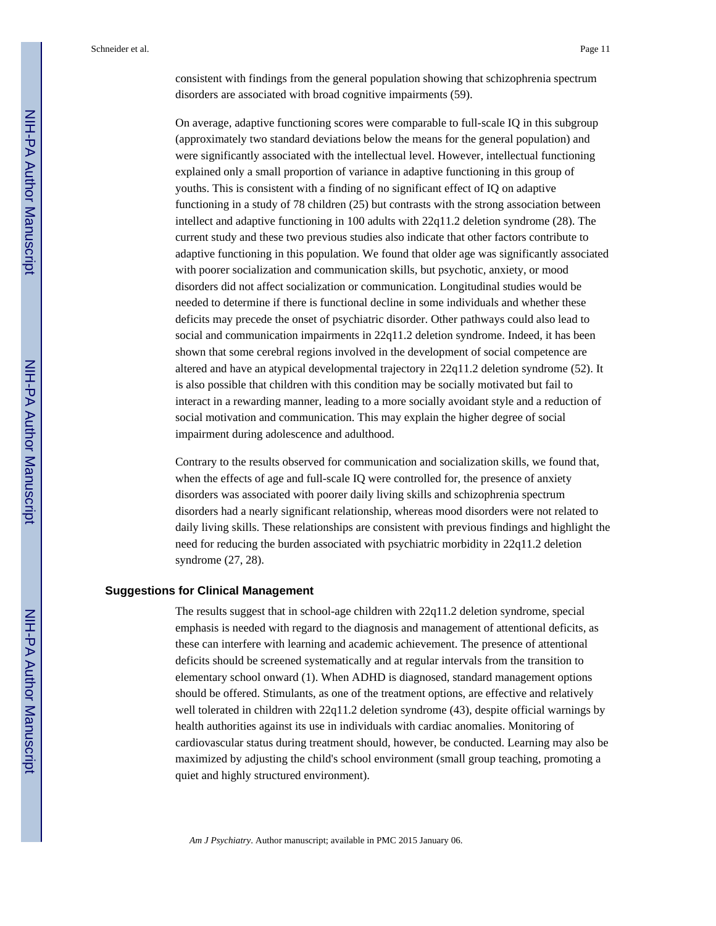consistent with findings from the general population showing that schizophrenia spectrum disorders are associated with broad cognitive impairments (59).

On average, adaptive functioning scores were comparable to full-scale IQ in this subgroup (approximately two standard deviations below the means for the general population) and were significantly associated with the intellectual level. However, intellectual functioning explained only a small proportion of variance in adaptive functioning in this group of youths. This is consistent with a finding of no significant effect of IQ on adaptive functioning in a study of 78 children (25) but contrasts with the strong association between intellect and adaptive functioning in 100 adults with 22q11.2 deletion syndrome (28). The current study and these two previous studies also indicate that other factors contribute to adaptive functioning in this population. We found that older age was significantly associated with poorer socialization and communication skills, but psychotic, anxiety, or mood disorders did not affect socialization or communication. Longitudinal studies would be needed to determine if there is functional decline in some individuals and whether these deficits may precede the onset of psychiatric disorder. Other pathways could also lead to social and communication impairments in 22q11.2 deletion syndrome. Indeed, it has been shown that some cerebral regions involved in the development of social competence are altered and have an atypical developmental trajectory in 22q11.2 deletion syndrome (52). It is also possible that children with this condition may be socially motivated but fail to interact in a rewarding manner, leading to a more socially avoidant style and a reduction of social motivation and communication. This may explain the higher degree of social impairment during adolescence and adulthood.

Contrary to the results observed for communication and socialization skills, we found that, when the effects of age and full-scale IQ were controlled for, the presence of anxiety disorders was associated with poorer daily living skills and schizophrenia spectrum disorders had a nearly significant relationship, whereas mood disorders were not related to daily living skills. These relationships are consistent with previous findings and highlight the need for reducing the burden associated with psychiatric morbidity in 22q11.2 deletion syndrome (27, 28).

#### **Suggestions for Clinical Management**

The results suggest that in school-age children with 22q11.2 deletion syndrome, special emphasis is needed with regard to the diagnosis and management of attentional deficits, as these can interfere with learning and academic achievement. The presence of attentional deficits should be screened systematically and at regular intervals from the transition to elementary school onward (1). When ADHD is diagnosed, standard management options should be offered. Stimulants, as one of the treatment options, are effective and relatively well tolerated in children with  $22q11.2$  deletion syndrome (43), despite official warnings by health authorities against its use in individuals with cardiac anomalies. Monitoring of cardiovascular status during treatment should, however, be conducted. Learning may also be maximized by adjusting the child's school environment (small group teaching, promoting a quiet and highly structured environment).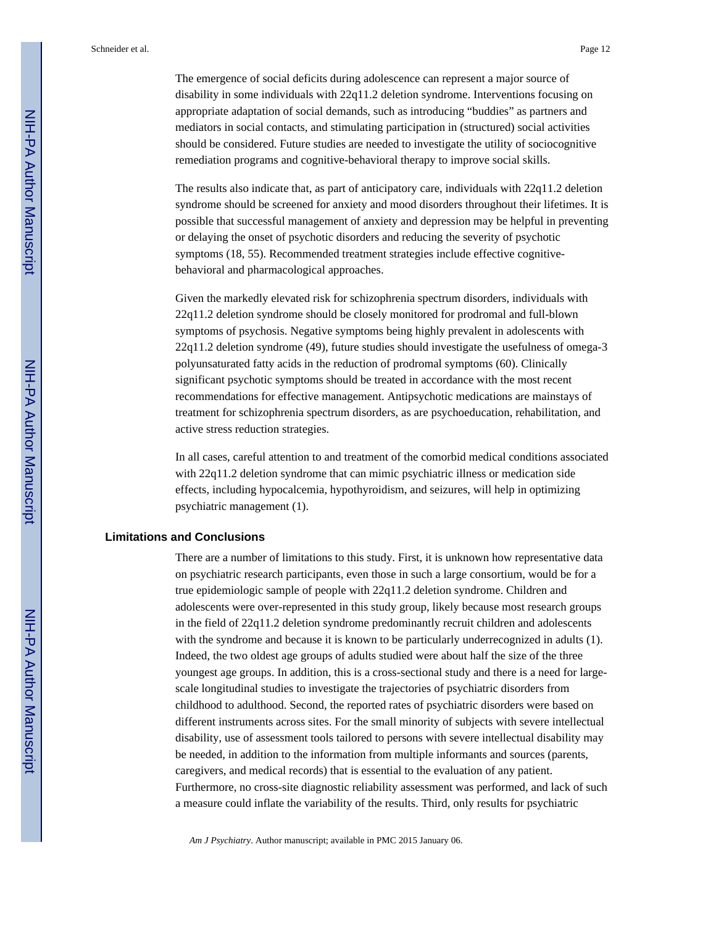The emergence of social deficits during adolescence can represent a major source of disability in some individuals with 22q11.2 deletion syndrome. Interventions focusing on appropriate adaptation of social demands, such as introducing "buddies" as partners and mediators in social contacts, and stimulating participation in (structured) social activities should be considered. Future studies are needed to investigate the utility of sociocognitive remediation programs and cognitive-behavioral therapy to improve social skills.

The results also indicate that, as part of anticipatory care, individuals with 22q11.2 deletion syndrome should be screened for anxiety and mood disorders throughout their lifetimes. It is possible that successful management of anxiety and depression may be helpful in preventing or delaying the onset of psychotic disorders and reducing the severity of psychotic symptoms (18, 55). Recommended treatment strategies include effective cognitivebehavioral and pharmacological approaches.

Given the markedly elevated risk for schizophrenia spectrum disorders, individuals with 22q11.2 deletion syndrome should be closely monitored for prodromal and full-blown symptoms of psychosis. Negative symptoms being highly prevalent in adolescents with 22q11.2 deletion syndrome (49), future studies should investigate the usefulness of omega-3 polyunsaturated fatty acids in the reduction of prodromal symptoms (60). Clinically significant psychotic symptoms should be treated in accordance with the most recent recommendations for effective management. Antipsychotic medications are mainstays of treatment for schizophrenia spectrum disorders, as are psychoeducation, rehabilitation, and active stress reduction strategies.

In all cases, careful attention to and treatment of the comorbid medical conditions associated with 22q11.2 deletion syndrome that can mimic psychiatric illness or medication side effects, including hypocalcemia, hypothyroidism, and seizures, will help in optimizing psychiatric management (1).

#### **Limitations and Conclusions**

There are a number of limitations to this study. First, it is unknown how representative data on psychiatric research participants, even those in such a large consortium, would be for a true epidemiologic sample of people with 22q11.2 deletion syndrome. Children and adolescents were over-represented in this study group, likely because most research groups in the field of 22q11.2 deletion syndrome predominantly recruit children and adolescents with the syndrome and because it is known to be particularly underrecognized in adults (1). Indeed, the two oldest age groups of adults studied were about half the size of the three youngest age groups. In addition, this is a cross-sectional study and there is a need for largescale longitudinal studies to investigate the trajectories of psychiatric disorders from childhood to adulthood. Second, the reported rates of psychiatric disorders were based on different instruments across sites. For the small minority of subjects with severe intellectual disability, use of assessment tools tailored to persons with severe intellectual disability may be needed, in addition to the information from multiple informants and sources (parents, caregivers, and medical records) that is essential to the evaluation of any patient. Furthermore, no cross-site diagnostic reliability assessment was performed, and lack of such a measure could inflate the variability of the results. Third, only results for psychiatric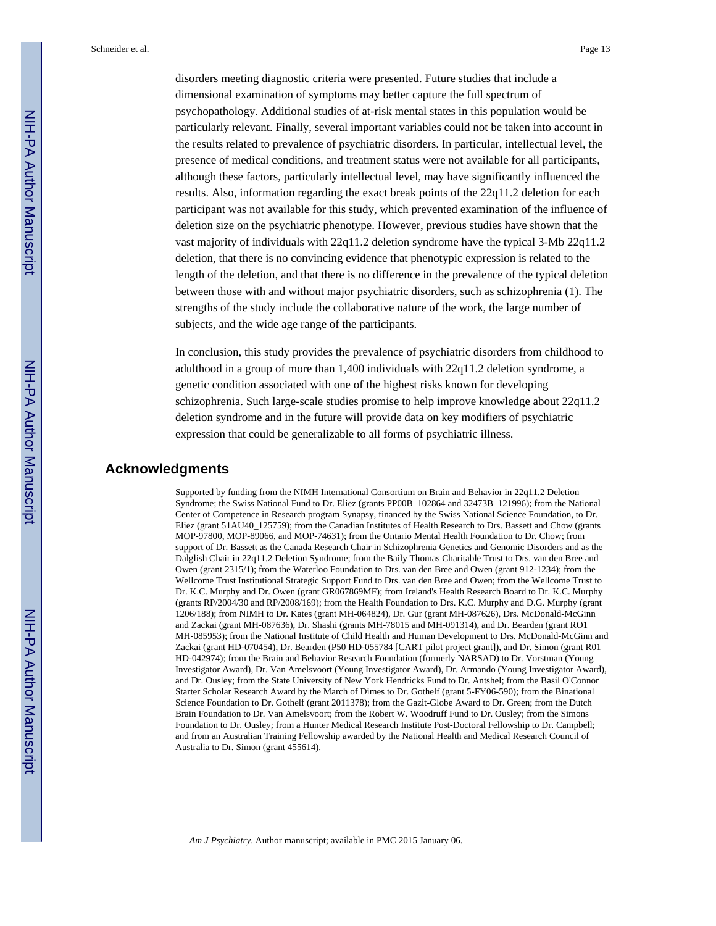disorders meeting diagnostic criteria were presented. Future studies that include a dimensional examination of symptoms may better capture the full spectrum of psychopathology. Additional studies of at-risk mental states in this population would be particularly relevant. Finally, several important variables could not be taken into account in the results related to prevalence of psychiatric disorders. In particular, intellectual level, the presence of medical conditions, and treatment status were not available for all participants, although these factors, particularly intellectual level, may have significantly influenced the results. Also, information regarding the exact break points of the 22q11.2 deletion for each participant was not available for this study, which prevented examination of the influence of deletion size on the psychiatric phenotype. However, previous studies have shown that the vast majority of individuals with 22q11.2 deletion syndrome have the typical 3-Mb 22q11.2 deletion, that there is no convincing evidence that phenotypic expression is related to the length of the deletion, and that there is no difference in the prevalence of the typical deletion between those with and without major psychiatric disorders, such as schizophrenia (1). The strengths of the study include the collaborative nature of the work, the large number of subjects, and the wide age range of the participants.

In conclusion, this study provides the prevalence of psychiatric disorders from childhood to adulthood in a group of more than 1,400 individuals with 22q11.2 deletion syndrome, a genetic condition associated with one of the highest risks known for developing schizophrenia. Such large-scale studies promise to help improve knowledge about 22q11.2 deletion syndrome and in the future will provide data on key modifiers of psychiatric expression that could be generalizable to all forms of psychiatric illness.

#### **Acknowledgments**

Supported by funding from the NIMH International Consortium on Brain and Behavior in 22q11.2 Deletion Syndrome; the Swiss National Fund to Dr. Eliez (grants PP00B\_102864 and 32473B\_121996); from the National Center of Competence in Research program Synapsy, financed by the Swiss National Science Foundation, to Dr. Eliez (grant 51AU40\_125759); from the Canadian Institutes of Health Research to Drs. Bassett and Chow (grants MOP-97800, MOP-89066, and MOP-74631); from the Ontario Mental Health Foundation to Dr. Chow; from support of Dr. Bassett as the Canada Research Chair in Schizophrenia Genetics and Genomic Disorders and as the Dalglish Chair in 22q11.2 Deletion Syndrome; from the Baily Thomas Charitable Trust to Drs. van den Bree and Owen (grant 2315/1); from the Waterloo Foundation to Drs. van den Bree and Owen (grant 912-1234); from the Wellcome Trust Institutional Strategic Support Fund to Drs. van den Bree and Owen; from the Wellcome Trust to Dr. K.C. Murphy and Dr. Owen (grant GR067869MF); from Ireland's Health Research Board to Dr. K.C. Murphy (grants RP/2004/30 and RP/2008/169); from the Health Foundation to Drs. K.C. Murphy and D.G. Murphy (grant 1206/188); from NIMH to Dr. Kates (grant MH-064824), Dr. Gur (grant MH-087626), Drs. McDonald-McGinn and Zackai (grant MH-087636), Dr. Shashi (grants MH-78015 and MH-091314), and Dr. Bearden (grant RO1 MH-085953); from the National Institute of Child Health and Human Development to Drs. McDonald-McGinn and Zackai (grant HD-070454), Dr. Bearden (P50 HD-055784 [CART pilot project grant]), and Dr. Simon (grant R01 HD-042974); from the Brain and Behavior Research Foundation (formerly NARSAD) to Dr. Vorstman (Young Investigator Award), Dr. Van Amelsvoort (Young Investigator Award), Dr. Armando (Young Investigator Award), and Dr. Ousley; from the State University of New York Hendricks Fund to Dr. Antshel; from the Basil O'Connor Starter Scholar Research Award by the March of Dimes to Dr. Gothelf (grant 5-FY06-590); from the Binational Science Foundation to Dr. Gothelf (grant 2011378); from the Gazit-Globe Award to Dr. Green; from the Dutch Brain Foundation to Dr. Van Amelsvoort; from the Robert W. Woodruff Fund to Dr. Ousley; from the Simons Foundation to Dr. Ousley; from a Hunter Medical Research Institute Post-Doctoral Fellowship to Dr. Campbell; and from an Australian Training Fellowship awarded by the National Health and Medical Research Council of Australia to Dr. Simon (grant 455614).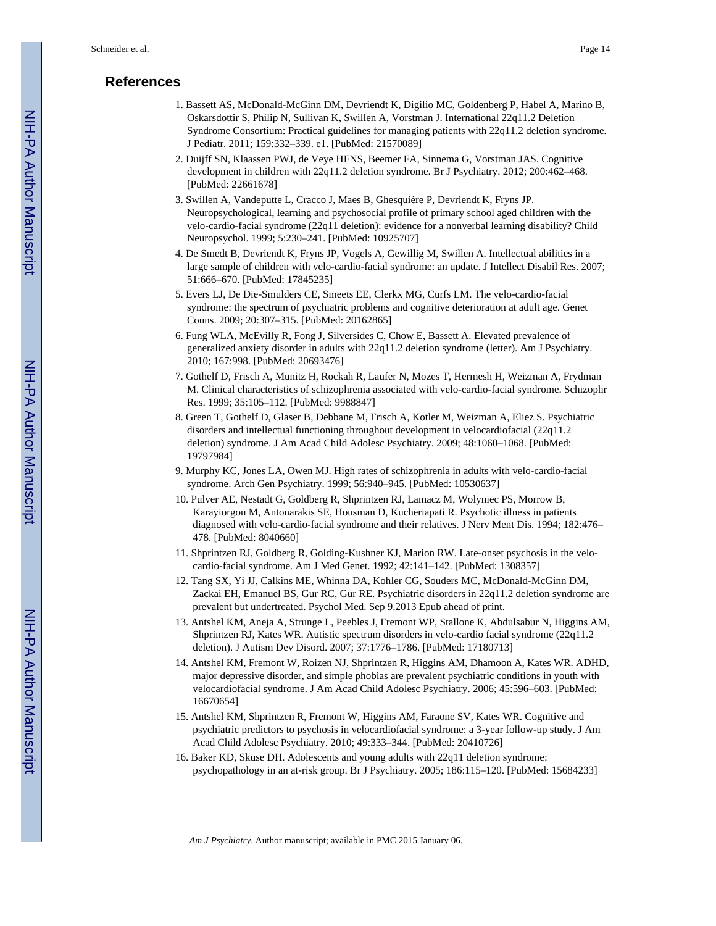### **References**

- 1. Bassett AS, McDonald-McGinn DM, Devriendt K, Digilio MC, Goldenberg P, Habel A, Marino B, Oskarsdottir S, Philip N, Sullivan K, Swillen A, Vorstman J. International 22q11.2 Deletion Syndrome Consortium: Practical guidelines for managing patients with 22q11.2 deletion syndrome. J Pediatr. 2011; 159:332–339. e1. [PubMed: 21570089]
- 2. Duijff SN, Klaassen PWJ, de Veye HFNS, Beemer FA, Sinnema G, Vorstman JAS. Cognitive development in children with 22q11.2 deletion syndrome. Br J Psychiatry. 2012; 200:462–468. [PubMed: 22661678]
- 3. Swillen A, Vandeputte L, Cracco J, Maes B, Ghesquière P, Devriendt K, Fryns JP. Neuropsychological, learning and psychosocial profile of primary school aged children with the velo-cardio-facial syndrome (22q11 deletion): evidence for a nonverbal learning disability? Child Neuropsychol. 1999; 5:230–241. [PubMed: 10925707]
- 4. De Smedt B, Devriendt K, Fryns JP, Vogels A, Gewillig M, Swillen A. Intellectual abilities in a large sample of children with velo-cardio-facial syndrome: an update. J Intellect Disabil Res. 2007; 51:666–670. [PubMed: 17845235]
- 5. Evers LJ, De Die-Smulders CE, Smeets EE, Clerkx MG, Curfs LM. The velo-cardio-facial syndrome: the spectrum of psychiatric problems and cognitive deterioration at adult age. Genet Couns. 2009; 20:307–315. [PubMed: 20162865]
- 6. Fung WLA, McEvilly R, Fong J, Silversides C, Chow E, Bassett A. Elevated prevalence of generalized anxiety disorder in adults with 22q11.2 deletion syndrome (letter). Am J Psychiatry. 2010; 167:998. [PubMed: 20693476]
- 7. Gothelf D, Frisch A, Munitz H, Rockah R, Laufer N, Mozes T, Hermesh H, Weizman A, Frydman M. Clinical characteristics of schizophrenia associated with velo-cardio-facial syndrome. Schizophr Res. 1999; 35:105–112. [PubMed: 9988847]
- 8. Green T, Gothelf D, Glaser B, Debbane M, Frisch A, Kotler M, Weizman A, Eliez S. Psychiatric disorders and intellectual functioning throughout development in velocardiofacial (22q11.2 deletion) syndrome. J Am Acad Child Adolesc Psychiatry. 2009; 48:1060–1068. [PubMed: 19797984]
- 9. Murphy KC, Jones LA, Owen MJ. High rates of schizophrenia in adults with velo-cardio-facial syndrome. Arch Gen Psychiatry. 1999; 56:940–945. [PubMed: 10530637]
- 10. Pulver AE, Nestadt G, Goldberg R, Shprintzen RJ, Lamacz M, Wolyniec PS, Morrow B, Karayiorgou M, Antonarakis SE, Housman D, Kucheriapati R. Psychotic illness in patients diagnosed with velo-cardio-facial syndrome and their relatives. J Nerv Ment Dis. 1994; 182:476– 478. [PubMed: 8040660]
- 11. Shprintzen RJ, Goldberg R, Golding-Kushner KJ, Marion RW. Late-onset psychosis in the velocardio-facial syndrome. Am J Med Genet. 1992; 42:141–142. [PubMed: 1308357]
- 12. Tang SX, Yi JJ, Calkins ME, Whinna DA, Kohler CG, Souders MC, McDonald-McGinn DM, Zackai EH, Emanuel BS, Gur RC, Gur RE. Psychiatric disorders in 22q11.2 deletion syndrome are prevalent but undertreated. Psychol Med. Sep 9.2013 Epub ahead of print.
- 13. Antshel KM, Aneja A, Strunge L, Peebles J, Fremont WP, Stallone K, Abdulsabur N, Higgins AM, Shprintzen RJ, Kates WR. Autistic spectrum disorders in velo-cardio facial syndrome (22q11.2 deletion). J Autism Dev Disord. 2007; 37:1776–1786. [PubMed: 17180713]
- 14. Antshel KM, Fremont W, Roizen NJ, Shprintzen R, Higgins AM, Dhamoon A, Kates WR. ADHD, major depressive disorder, and simple phobias are prevalent psychiatric conditions in youth with velocardiofacial syndrome. J Am Acad Child Adolesc Psychiatry. 2006; 45:596–603. [PubMed: 16670654]
- 15. Antshel KM, Shprintzen R, Fremont W, Higgins AM, Faraone SV, Kates WR. Cognitive and psychiatric predictors to psychosis in velocardiofacial syndrome: a 3-year follow-up study. J Am Acad Child Adolesc Psychiatry. 2010; 49:333–344. [PubMed: 20410726]
- 16. Baker KD, Skuse DH. Adolescents and young adults with 22q11 deletion syndrome: psychopathology in an at-risk group. Br J Psychiatry. 2005; 186:115–120. [PubMed: 15684233]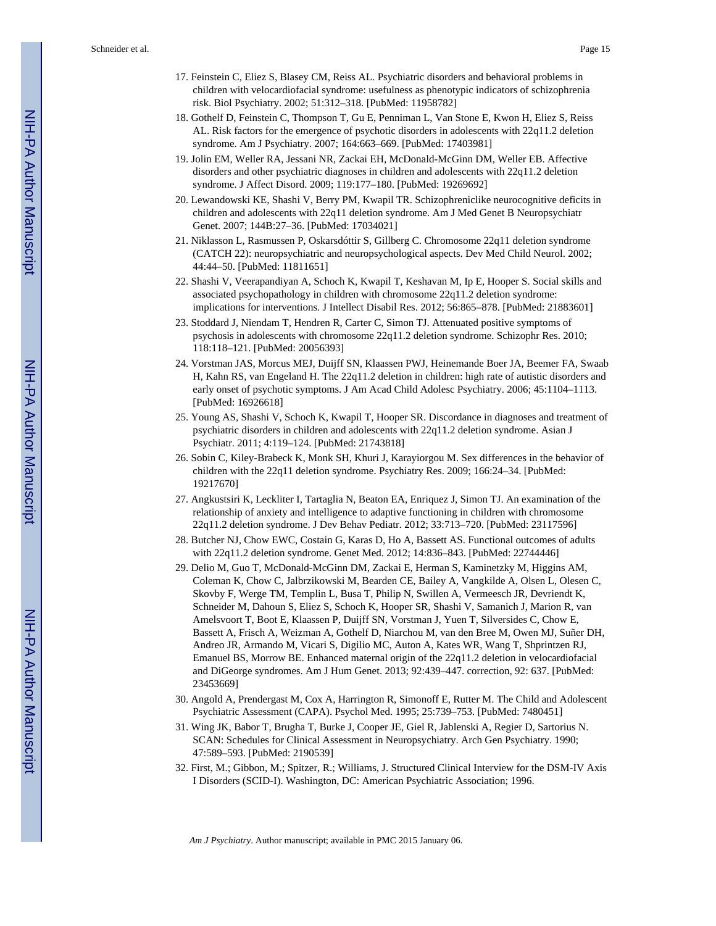- 17. Feinstein C, Eliez S, Blasey CM, Reiss AL. Psychiatric disorders and behavioral problems in children with velocardiofacial syndrome: usefulness as phenotypic indicators of schizophrenia risk. Biol Psychiatry. 2002; 51:312–318. [PubMed: 11958782]
- 18. Gothelf D, Feinstein C, Thompson T, Gu E, Penniman L, Van Stone E, Kwon H, Eliez S, Reiss AL. Risk factors for the emergence of psychotic disorders in adolescents with 22q11.2 deletion syndrome. Am J Psychiatry. 2007; 164:663–669. [PubMed: 17403981]
- 19. Jolin EM, Weller RA, Jessani NR, Zackai EH, McDonald-McGinn DM, Weller EB. Affective disorders and other psychiatric diagnoses in children and adolescents with 22q11.2 deletion syndrome. J Affect Disord. 2009; 119:177–180. [PubMed: 19269692]
- 20. Lewandowski KE, Shashi V, Berry PM, Kwapil TR. Schizophreniclike neurocognitive deficits in children and adolescents with 22q11 deletion syndrome. Am J Med Genet B Neuropsychiatr Genet. 2007; 144B:27–36. [PubMed: 17034021]
- 21. Niklasson L, Rasmussen P, Oskarsdóttir S, Gillberg C. Chromosome 22q11 deletion syndrome (CATCH 22): neuropsychiatric and neuropsychological aspects. Dev Med Child Neurol. 2002; 44:44–50. [PubMed: 11811651]
- 22. Shashi V, Veerapandiyan A, Schoch K, Kwapil T, Keshavan M, Ip E, Hooper S. Social skills and associated psychopathology in children with chromosome 22q11.2 deletion syndrome: implications for interventions. J Intellect Disabil Res. 2012; 56:865–878. [PubMed: 21883601]
- 23. Stoddard J, Niendam T, Hendren R, Carter C, Simon TJ. Attenuated positive symptoms of psychosis in adolescents with chromosome 22q11.2 deletion syndrome. Schizophr Res. 2010; 118:118–121. [PubMed: 20056393]
- 24. Vorstman JAS, Morcus MEJ, Duijff SN, Klaassen PWJ, Heinemande Boer JA, Beemer FA, Swaab H, Kahn RS, van Engeland H. The 22q11.2 deletion in children: high rate of autistic disorders and early onset of psychotic symptoms. J Am Acad Child Adolesc Psychiatry. 2006; 45:1104–1113. [PubMed: 16926618]
- 25. Young AS, Shashi V, Schoch K, Kwapil T, Hooper SR. Discordance in diagnoses and treatment of psychiatric disorders in children and adolescents with 22q11.2 deletion syndrome. Asian J Psychiatr. 2011; 4:119–124. [PubMed: 21743818]
- 26. Sobin C, Kiley-Brabeck K, Monk SH, Khuri J, Karayiorgou M. Sex differences in the behavior of children with the 22q11 deletion syndrome. Psychiatry Res. 2009; 166:24–34. [PubMed: 19217670]
- 27. Angkustsiri K, Leckliter I, Tartaglia N, Beaton EA, Enriquez J, Simon TJ. An examination of the relationship of anxiety and intelligence to adaptive functioning in children with chromosome 22q11.2 deletion syndrome. J Dev Behav Pediatr. 2012; 33:713–720. [PubMed: 23117596]
- 28. Butcher NJ, Chow EWC, Costain G, Karas D, Ho A, Bassett AS. Functional outcomes of adults with 22q11.2 deletion syndrome. Genet Med. 2012; 14:836–843. [PubMed: 22744446]
- 29. Delio M, Guo T, McDonald-McGinn DM, Zackai E, Herman S, Kaminetzky M, Higgins AM, Coleman K, Chow C, Jalbrzikowski M, Bearden CE, Bailey A, Vangkilde A, Olsen L, Olesen C, Skovby F, Werge TM, Templin L, Busa T, Philip N, Swillen A, Vermeesch JR, Devriendt K, Schneider M, Dahoun S, Eliez S, Schoch K, Hooper SR, Shashi V, Samanich J, Marion R, van Amelsvoort T, Boot E, Klaassen P, Duijff SN, Vorstman J, Yuen T, Silversides C, Chow E, Bassett A, Frisch A, Weizman A, Gothelf D, Niarchou M, van den Bree M, Owen MJ, Suñer DH, Andreo JR, Armando M, Vicari S, Digilio MC, Auton A, Kates WR, Wang T, Shprintzen RJ, Emanuel BS, Morrow BE. Enhanced maternal origin of the 22q11.2 deletion in velocardiofacial and DiGeorge syndromes. Am J Hum Genet. 2013; 92:439–447. correction, 92: 637. [PubMed: 23453669]
- 30. Angold A, Prendergast M, Cox A, Harrington R, Simonoff E, Rutter M. The Child and Adolescent Psychiatric Assessment (CAPA). Psychol Med. 1995; 25:739–753. [PubMed: 7480451]
- 31. Wing JK, Babor T, Brugha T, Burke J, Cooper JE, Giel R, Jablenski A, Regier D, Sartorius N. SCAN: Schedules for Clinical Assessment in Neuropsychiatry. Arch Gen Psychiatry. 1990; 47:589–593. [PubMed: 2190539]
- 32. First, M.; Gibbon, M.; Spitzer, R.; Williams, J. Structured Clinical Interview for the DSM-IV Axis I Disorders (SCID-I). Washington, DC: American Psychiatric Association; 1996.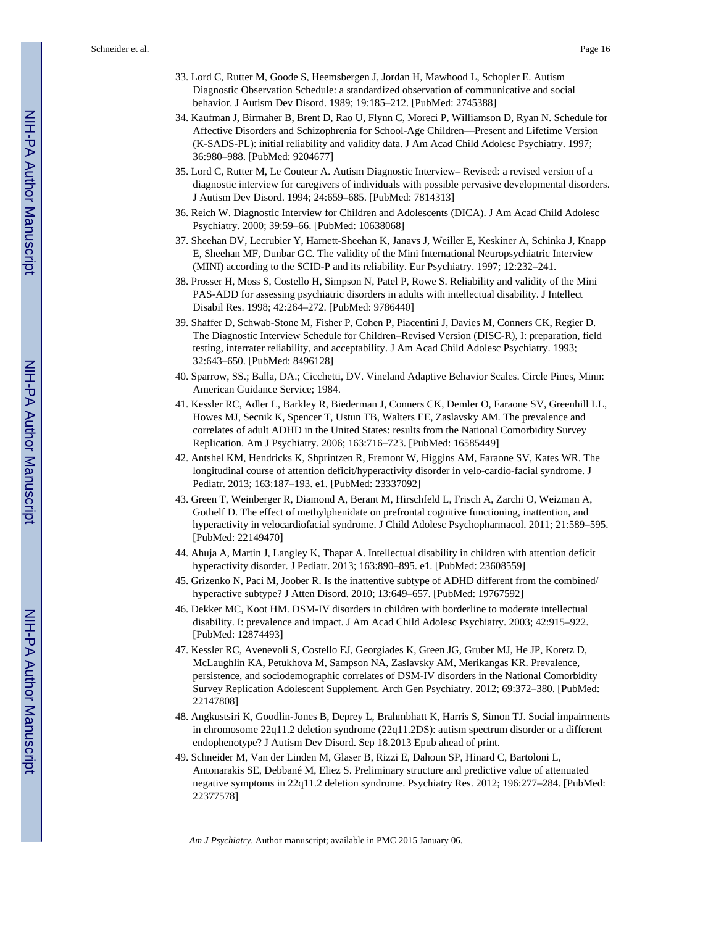- 33. Lord C, Rutter M, Goode S, Heemsbergen J, Jordan H, Mawhood L, Schopler E. Autism Diagnostic Observation Schedule: a standardized observation of communicative and social behavior. J Autism Dev Disord. 1989; 19:185–212. [PubMed: 2745388]
- 34. Kaufman J, Birmaher B, Brent D, Rao U, Flynn C, Moreci P, Williamson D, Ryan N. Schedule for Affective Disorders and Schizophrenia for School-Age Children—Present and Lifetime Version (K-SADS-PL): initial reliability and validity data. J Am Acad Child Adolesc Psychiatry. 1997; 36:980–988. [PubMed: 9204677]
- 35. Lord C, Rutter M, Le Couteur A. Autism Diagnostic Interview– Revised: a revised version of a diagnostic interview for caregivers of individuals with possible pervasive developmental disorders. J Autism Dev Disord. 1994; 24:659–685. [PubMed: 7814313]
- 36. Reich W. Diagnostic Interview for Children and Adolescents (DICA). J Am Acad Child Adolesc Psychiatry. 2000; 39:59–66. [PubMed: 10638068]
- 37. Sheehan DV, Lecrubier Y, Harnett-Sheehan K, Janavs J, Weiller E, Keskiner A, Schinka J, Knapp E, Sheehan MF, Dunbar GC. The validity of the Mini International Neuropsychiatric Interview (MINI) according to the SCID-P and its reliability. Eur Psychiatry. 1997; 12:232–241.
- 38. Prosser H, Moss S, Costello H, Simpson N, Patel P, Rowe S. Reliability and validity of the Mini PAS-ADD for assessing psychiatric disorders in adults with intellectual disability. J Intellect Disabil Res. 1998; 42:264–272. [PubMed: 9786440]
- 39. Shaffer D, Schwab-Stone M, Fisher P, Cohen P, Piacentini J, Davies M, Conners CK, Regier D. The Diagnostic Interview Schedule for Children–Revised Version (DISC-R), I: preparation, field testing, interrater reliability, and acceptability. J Am Acad Child Adolesc Psychiatry. 1993; 32:643–650. [PubMed: 8496128]
- 40. Sparrow, SS.; Balla, DA.; Cicchetti, DV. Vineland Adaptive Behavior Scales. Circle Pines, Minn: American Guidance Service; 1984.
- 41. Kessler RC, Adler L, Barkley R, Biederman J, Conners CK, Demler O, Faraone SV, Greenhill LL, Howes MJ, Secnik K, Spencer T, Ustun TB, Walters EE, Zaslavsky AM. The prevalence and correlates of adult ADHD in the United States: results from the National Comorbidity Survey Replication. Am J Psychiatry. 2006; 163:716–723. [PubMed: 16585449]
- 42. Antshel KM, Hendricks K, Shprintzen R, Fremont W, Higgins AM, Faraone SV, Kates WR. The longitudinal course of attention deficit/hyperactivity disorder in velo-cardio-facial syndrome. J Pediatr. 2013; 163:187–193. e1. [PubMed: 23337092]
- 43. Green T, Weinberger R, Diamond A, Berant M, Hirschfeld L, Frisch A, Zarchi O, Weizman A, Gothelf D. The effect of methylphenidate on prefrontal cognitive functioning, inattention, and hyperactivity in velocardiofacial syndrome. J Child Adolesc Psychopharmacol. 2011; 21:589–595. [PubMed: 22149470]
- 44. Ahuja A, Martin J, Langley K, Thapar A. Intellectual disability in children with attention deficit hyperactivity disorder. J Pediatr. 2013; 163:890–895. e1. [PubMed: 23608559]
- 45. Grizenko N, Paci M, Joober R. Is the inattentive subtype of ADHD different from the combined/ hyperactive subtype? J Atten Disord. 2010; 13:649–657. [PubMed: 19767592]
- 46. Dekker MC, Koot HM. DSM-IV disorders in children with borderline to moderate intellectual disability. I: prevalence and impact. J Am Acad Child Adolesc Psychiatry. 2003; 42:915–922. [PubMed: 12874493]
- 47. Kessler RC, Avenevoli S, Costello EJ, Georgiades K, Green JG, Gruber MJ, He JP, Koretz D, McLaughlin KA, Petukhova M, Sampson NA, Zaslavsky AM, Merikangas KR. Prevalence, persistence, and sociodemographic correlates of DSM-IV disorders in the National Comorbidity Survey Replication Adolescent Supplement. Arch Gen Psychiatry. 2012; 69:372–380. [PubMed: 22147808]
- 48. Angkustsiri K, Goodlin-Jones B, Deprey L, Brahmbhatt K, Harris S, Simon TJ. Social impairments in chromosome 22q11.2 deletion syndrome (22q11.2DS): autism spectrum disorder or a different endophenotype? J Autism Dev Disord. Sep 18.2013 Epub ahead of print.
- 49. Schneider M, Van der Linden M, Glaser B, Rizzi E, Dahoun SP, Hinard C, Bartoloni L, Antonarakis SE, Debbané M, Eliez S. Preliminary structure and predictive value of attenuated negative symptoms in 22q11.2 deletion syndrome. Psychiatry Res. 2012; 196:277–284. [PubMed: 22377578]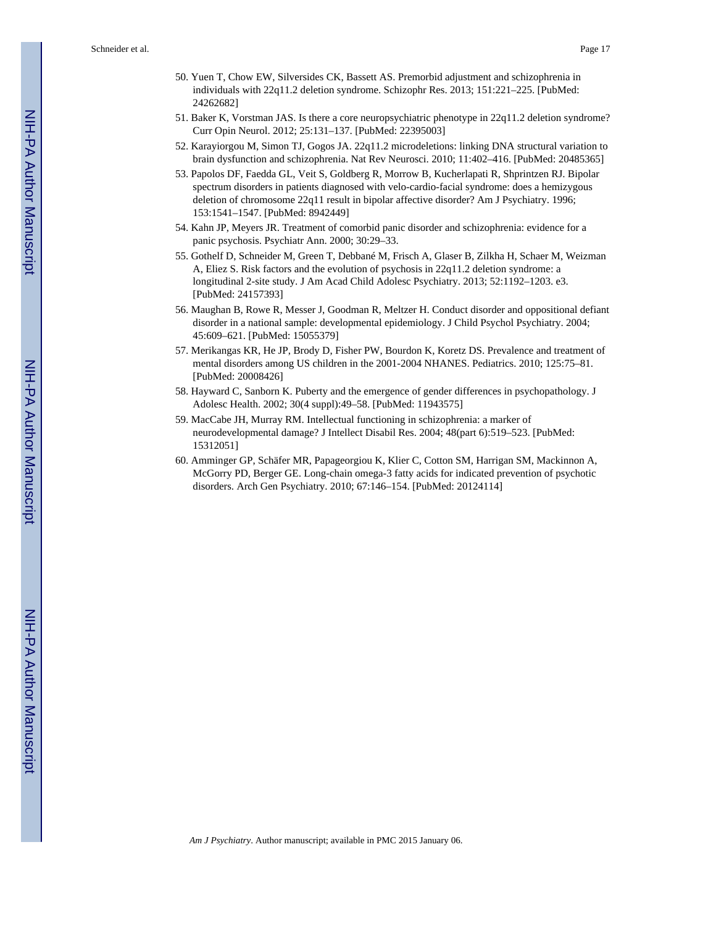- 50. Yuen T, Chow EW, Silversides CK, Bassett AS. Premorbid adjustment and schizophrenia in individuals with 22q11.2 deletion syndrome. Schizophr Res. 2013; 151:221–225. [PubMed: 24262682]
- 51. Baker K, Vorstman JAS. Is there a core neuropsychiatric phenotype in 22q11.2 deletion syndrome? Curr Opin Neurol. 2012; 25:131–137. [PubMed: 22395003]
- 52. Karayiorgou M, Simon TJ, Gogos JA. 22q11.2 microdeletions: linking DNA structural variation to brain dysfunction and schizophrenia. Nat Rev Neurosci. 2010; 11:402–416. [PubMed: 20485365]
- 53. Papolos DF, Faedda GL, Veit S, Goldberg R, Morrow B, Kucherlapati R, Shprintzen RJ. Bipolar spectrum disorders in patients diagnosed with velo-cardio-facial syndrome: does a hemizygous deletion of chromosome 22q11 result in bipolar affective disorder? Am J Psychiatry. 1996; 153:1541–1547. [PubMed: 8942449]
- 54. Kahn JP, Meyers JR. Treatment of comorbid panic disorder and schizophrenia: evidence for a panic psychosis. Psychiatr Ann. 2000; 30:29–33.
- 55. Gothelf D, Schneider M, Green T, Debbané M, Frisch A, Glaser B, Zilkha H, Schaer M, Weizman A, Eliez S. Risk factors and the evolution of psychosis in 22q11.2 deletion syndrome: a longitudinal 2-site study. J Am Acad Child Adolesc Psychiatry. 2013; 52:1192–1203. e3. [PubMed: 24157393]
- 56. Maughan B, Rowe R, Messer J, Goodman R, Meltzer H. Conduct disorder and oppositional defiant disorder in a national sample: developmental epidemiology. J Child Psychol Psychiatry. 2004; 45:609–621. [PubMed: 15055379]
- 57. Merikangas KR, He JP, Brody D, Fisher PW, Bourdon K, Koretz DS. Prevalence and treatment of mental disorders among US children in the 2001-2004 NHANES. Pediatrics. 2010; 125:75–81. [PubMed: 20008426]
- 58. Hayward C, Sanborn K. Puberty and the emergence of gender differences in psychopathology. J Adolesc Health. 2002; 30(4 suppl):49–58. [PubMed: 11943575]
- 59. MacCabe JH, Murray RM. Intellectual functioning in schizophrenia: a marker of neurodevelopmental damage? J Intellect Disabil Res. 2004; 48(part 6):519–523. [PubMed: 15312051]
- 60. Amminger GP, Schäfer MR, Papageorgiou K, Klier C, Cotton SM, Harrigan SM, Mackinnon A, McGorry PD, Berger GE. Long-chain omega-3 fatty acids for indicated prevention of psychotic disorders. Arch Gen Psychiatry. 2010; 67:146–154. [PubMed: 20124114]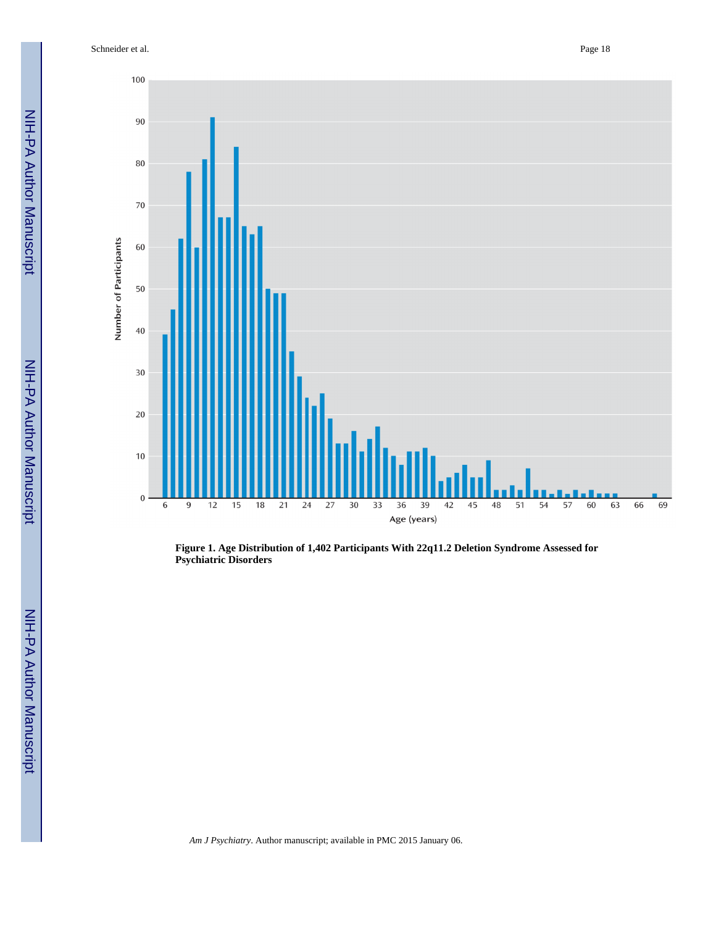Schneider et al. Page 18

100

 $90\,$ 

 $80\,$ 

 $70\,$ 

60

50

 $40\,$ 

30

20

 $10\,$ 

 $\boldsymbol{0}$ 

6

9

 $\overline{15}$ 

 $12$ 

 $\overline{18}$ 

 $\overline{21}$ 

24 27

Number of Participants



**Figure 1. Age Distribution of 1,402 Participants With 22q11.2 Deletion Syndrome Assessed for Psychiatric Disorders**

36

Age (years)

39

42

 $\overline{48}$ 

51

54

57

45

 $\overline{30}$  $\overline{33}$ 

NIH-PA Author Manuscript

*Am J Psychiatry*. Author manuscript; available in PMC 2015 January 06.

 $\overline{69}$ 

66

60

63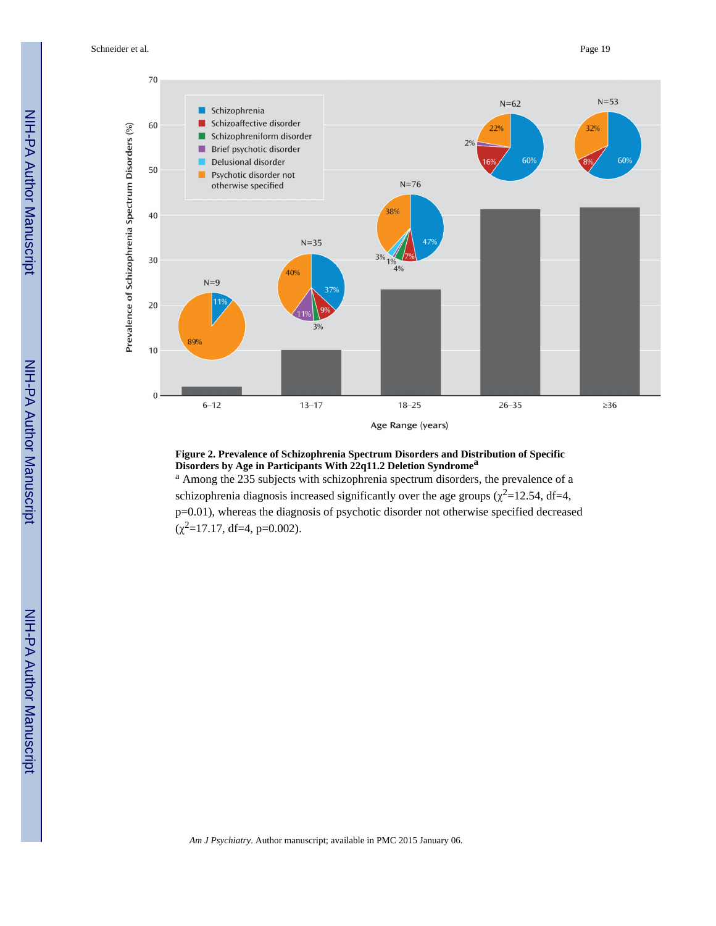Schneider et al. Page 19



#### **Figure 2. Prevalence of Schizophrenia Spectrum Disorders and Distribution of Specific Disorders by Age in Participants With 22q11.2 Deletion Syndrome<sup>a</sup>**

<sup>a</sup> Among the 235 subjects with schizophrenia spectrum disorders, the prevalence of a schizophrenia diagnosis increased significantly over the age groups  $(\chi^2=12.54, df=4,$ p=0.01), whereas the diagnosis of psychotic disorder not otherwise specified decreased  $(\chi^2 = 17.17, df = 4, p = 0.002)$ .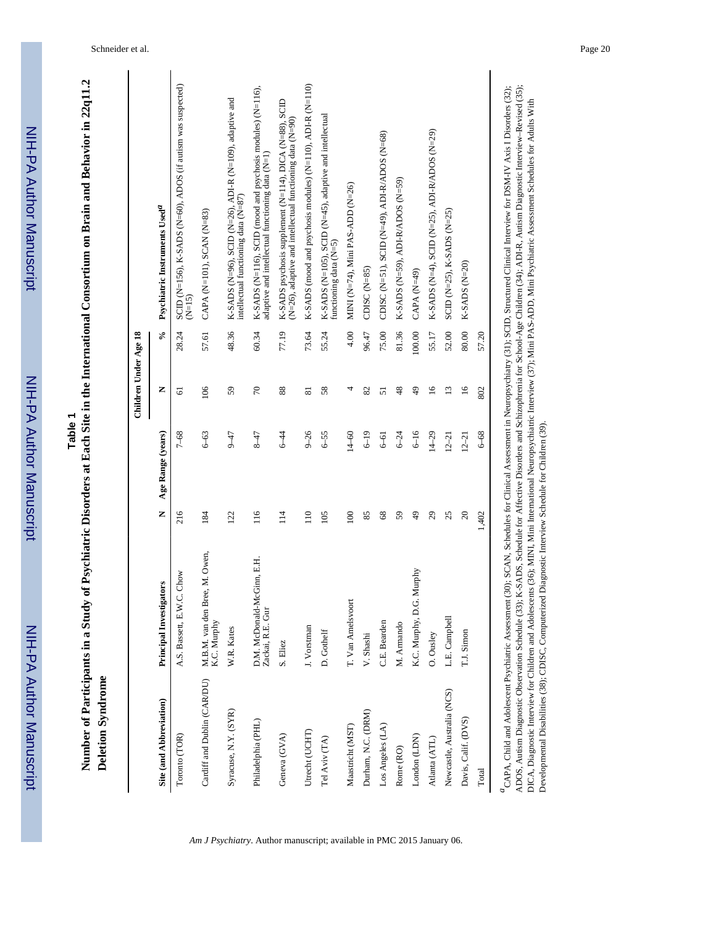| s<br>C<br>C<br>C |
|------------------|
|                  |
|                  |
|                  |
|                  |
|                  |
|                  |
|                  |
|                  |
|                  |
|                  |
| j                |
|                  |
|                  |
|                  |
|                  |
| į                |
|                  |
|                  |
|                  |
|                  |
|                  |
|                  |
|                  |
|                  |

Table 1<br>Number of Participants in a Study of Psychiatric Disorders at Each Site in the International Consortium on Brain and Behavior in 22q11.2 **Number of Participants in a Study of Psychiatric Disorders at Each Site in the International Consortium on Brain and Behavior in 22q11.2**  Deletion Syndrome **Deletion Syndrome**

|                             |                                                |                  |                   | Children Under Age 18 |                         |                                                                                                                     |
|-----------------------------|------------------------------------------------|------------------|-------------------|-----------------------|-------------------------|---------------------------------------------------------------------------------------------------------------------|
| Site (and Abbreviation)     | <b>Principal Investigators</b>                 | Z                | Age Range (years) | z                     | $\mathcal{S}_{\bullet}$ | Psychiatric Instruments Used <sup>a</sup>                                                                           |
| Toronto (TOR)               | Chow<br>A.S. Bassett, E.W.C.                   | 216              | $7 - 68$          | 5                     | 28.24                   | SCID (N=156), K-SADS (N=60), ADOS (if autism was suspected)<br>$(N=15)$                                             |
| Cardiff and Dublin (CAR/DU) | M.B.M. van den Bree, M. Owen,<br>K.C. Murphy   | 184              | $6 - 63$          | 106                   | 57.61                   | CAPA (N=101), SCAN (N=83)                                                                                           |
| Syracuse, N.Y. (SYR)        | W.R. Kates                                     | 122              | $5 + 7$           | 59                    | 48.36                   | K-SADS (N=96), SCID (N=26), ADI-R (N=109), adaptive and<br>intellectual functioning data (N=87)                     |
| Philadelphia (PHL)          | D.M. McDonald-McGinn, E.H.<br>Zackai, R.E. Gur | $\frac{16}{1}$   | $5 + 7$           | $\sqrt{2}$            | 60.34                   | K-SADS (N=116), SCID (mood and psychosis modules) (N=116),<br>adaptive and intellectual functioning data (N=1)      |
| Geneva (GVA)                | S. Eliez                                       | 114              | $6 - 44$          | 88                    | 77.19                   | K-SADS psychosis supplement (N=114), DICA (N=88), SCID<br>(N=26), adaptive and intellectual functioning data (N=90) |
| Utrecht (UCHT)              | J. Vorstman                                    | $\overline{110}$ | $9 - 26$          | ವ                     | 73.64                   | K-SADS (mood and psychosis modules) (N=110), ADI-R (N=110)                                                          |
| Tel Aviv (TA)               | D. Gothelf                                     | 105              | $6 - 55$          | 58                    | 55.24                   | K-SADS (N=105), SCID (N=45), adaptive and intellectual<br>functioning data $(N=5)$                                  |
| Maastricht (MST)            | T. Van Amelsvoort                              | 100              | $14 - 60$         | 4                     | 4.00                    | MINI (N=74), Mini PAS-ADD (N=26)                                                                                    |
| Durham, N.C. (DRM)          | V. Shashi                                      | 85               | $6 - 19$          | 82                    | 96.47                   | CDISC $(N=85)$                                                                                                      |
| Los Angeles (LA)            | C.E. Bearden                                   | 68               | $6 - 61$          | 51                    | 75.00                   | CDISC (N=51), SCID (N=49), ADI-R/ADOS (N=68)                                                                        |
| Rome (RO)                   | M. Armando                                     | 59               | $6 - 24$          | 48                    | 81.36                   | K-SADS (N=59), ADI-R/ADOS (N=59)                                                                                    |
| London (LDN)                | K.C. Murphy, D.G. Murphy                       | $\frac{49}{5}$   | $6 - 16$          | $\frac{49}{5}$        | 100.00                  | CAPA (N=49)                                                                                                         |
| Atlanta (ATL)               | O. Ousley                                      | 29               | $14 - 29$         | $\overline{16}$       | 55.17                   | K-SADS (N=4), SCID (N=25), ADI-R/ADOS (N=29)                                                                        |
| Newcastle, Australia (NCS)  | L.E. Campbell                                  | 25               | $12 - 21$         | $\overline{13}$       | 52.00                   | SCID (N=25), K-SADS (N=25)                                                                                          |
| Davis, Calif. (DVS)         | T.J. Simon                                     | $\overline{c}$   | $12 - 21$         | $\frac{8}{1}$         | 80.00                   | $K-SADS (N=20)$                                                                                                     |
| Total                       |                                                | 1,402            | $6 - 68$          | 802                   | 57.20                   |                                                                                                                     |
|                             |                                                |                  |                   |                       |                         |                                                                                                                     |

<sup>a</sup>CAPA, Child and Adolescent Psychiatric Assessment (30); SCAN, Schedules for Clinical Assessment in Neuropsychiatry (31); SCID, Structured Clinical Interview for DSM-IV Axis I Disorders (32); *a*CAPA, Child and Adolescent Psychiatric Assessment (30); SCAN, Schedules for Clinical Assessment in Neuropsychiatry (31); SCID, Structured Clinical Interview for DSM-IV Axis I Disorders (32); ADOS, Autism Diagnostic Observation Schedule (33); K-SADS, Schedule for Affective Disorders and Schizophrenia for School-Age Children (34); ADI-R, Autism Diagnostic Interview-Revised (35);<br>DICA, Diagnostic Interview for Ch ADOS, Autism Diagnostic Observation Schedule (33); K-SADS, Schedule for Affective Disorders and Schizophrenia for School-Age Children (34); ADI-R, Autism Diagnostic Interview–Revised (35); DICA, Diagnostic Interview for Children and Adolescents (36); MINI, Mini International Neuropsychiatric Interview (37); Mini PAS-ADD, Mini Psychiatric Assessment Schedules for Adults With Developmental Disabilities (38); CDISC, Computerized Diagnostic Interview Schedule for Children (39).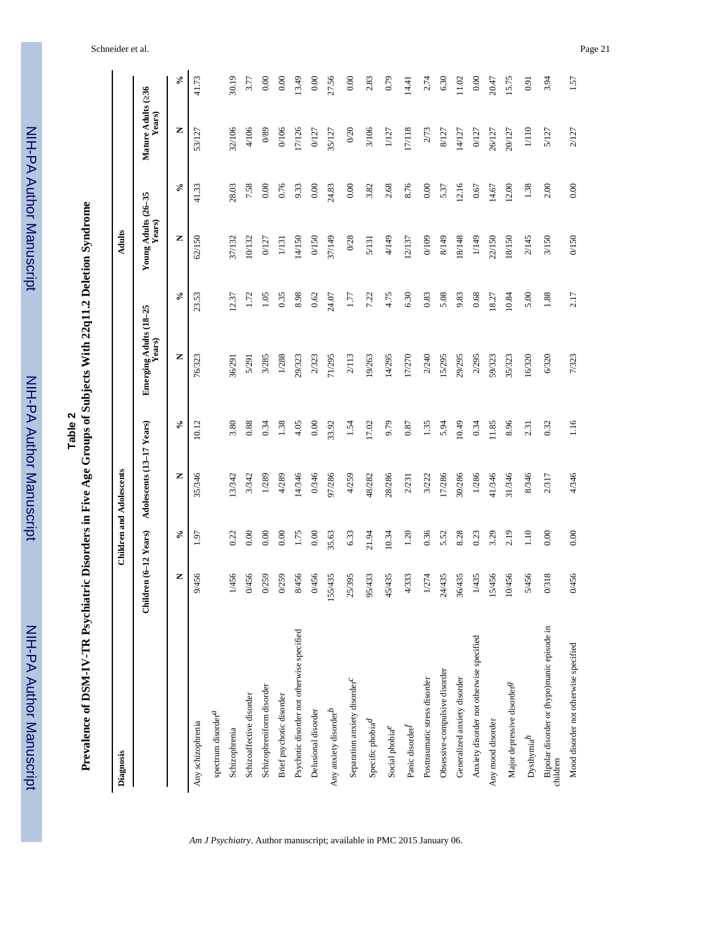| ートリー<br>アライ              |
|--------------------------|
|                          |
|                          |
|                          |
|                          |
|                          |
|                          |
|                          |
|                          |
|                          |
|                          |
|                          |
|                          |
| 'A Author Manuscript     |
|                          |
|                          |
|                          |
|                          |
|                          |
|                          |
|                          |
|                          |
|                          |
|                          |
|                          |
|                          |
|                          |
|                          |
|                          |
|                          |
|                          |
|                          |
|                          |
|                          |
| T<br>T<br>T              |
|                          |
|                          |
|                          |
|                          |
|                          |
|                          |
|                          |
|                          |
|                          |
|                          |
|                          |
|                          |
|                          |
|                          |
|                          |
| NIH-PA Author Manuscript |

**Prevalence of DSM-IV-TR Psychiatric Disorders in Five Age Groups of Subjects With 22q11.2 Deletion Syndrome Prevalence of DSM-IV-TR Psychiatric Disorders in Five Age Groups of Subjects With 22q11.2 Deletion Syndrome**

| Diagnosis                                              |                       | <b>Children and Adolescents</b> |                           |                                  |        | Adults                        |        |                             |        |
|--------------------------------------------------------|-----------------------|---------------------------------|---------------------------|----------------------------------|--------|-------------------------------|--------|-----------------------------|--------|
|                                                        | Children (6-12 Years) |                                 | Adolescents (13-17 Years) | Emerging Adults (18-25<br>Years) |        | Young Adults (26–35<br>Years) |        | Mature Adults (36<br>Years) |        |
|                                                        | $\mathcal{S}$<br>Z    | z                               | $\mathcal{S}_{\bullet}$   | z                                | $\sim$ | z                             | $\sim$ | Z                           | $\sim$ |
| Any schizophrenia                                      | 1.97<br>9/456         | 35/346                          | 10.12                     | 76/323                           | 23.53  | 62/150                        | 41.33  | 53/127                      | 41.73  |
| spectrum disorder <sup>a</sup>                         |                       |                                 |                           |                                  |        |                               |        |                             |        |
| Schizophrenia                                          | 0.22<br>1/456         | 13/342                          | 3.80                      | 36/291                           | 12.37  | 37/132                        | 28.03  | 32/106                      | 30.19  |
| Schizoaffective disorder                               | 0.00<br>0/456         | 3/342                           | 0.88                      | 5/291                            | 1.72   | 10/132                        | 7.58   | 4/106                       | 3.77   |
| Schizophreniform disorder                              | 0.00<br>0/259         | 1/289                           | 0.34                      | 3/285                            | 1.05   | 0/127                         | 0.00   | 0/89                        | 0.00   |
| Brief psychotic disorder                               | 0.00<br>0/259         | 4/289                           | 1.38                      | 1/288                            | 0.35   | $\frac{131}{2}$               | 0.76   | 0/106                       | 0.00   |
| Psychotic disorder not otherwise specified             | 1.75<br>8/456         | 14/346                          | 4.05                      | 29/323                           | 8.98   | 14/150                        | 9.33   | 17/126                      | 13.49  |
| Delusional disorder                                    | 0.00<br>0/456         | 0/346                           | 0.00                      | 2/323                            | 0.62   | 0/150                         | 0.00   | 0/127                       | 0.00   |
| Any anxiety disorder $\!b$                             | 35.63<br>155/435      | 97/286                          | 33.92                     | 71/295                           | 24.07  | 37/149                        | 24.83  | 35/127                      | 27.56  |
| Separation anxiety disorder <sup>C</sup>               | 6.33<br>25/395        | 4/259                           | 1.54                      | 2/113                            | 1.77   | 0/28                          | 0.00   | 0/20                        | 0.00   |
| Specific phobia <sup>d</sup>                           | 21.94<br>95/433       | 48/282                          | 17.02                     | 19/263                           | 7.22   | 5/131                         | 3.82   | 3/106                       | 2.83   |
| Social phobia <sup>e</sup>                             | 10.34<br>45/435       | 28/286                          | 9.79                      | 14/295                           | 4.75   | 4/149                         | 2.68   | 1/127                       | 0.79   |
| Panic disorder $\boldsymbol{f}$                        | 1.20<br>4/333         | 2/231                           | 0.87                      | 17/270                           | 6.30   | 12/137                        | 8.76   | 17/118                      | 14.41  |
| Posttraumatic stress disorder                          | 0.36<br>1/274         | 3/222                           | 1.35                      | 2/240                            | 0.83   | 0/109                         | 0.00   | 2/73                        | 2.74   |
| Obsessive-compulsive disorder                          | 5.52<br>24/435        | 17/286                          | 5.94                      | 15/295                           | 5.08   | 8/149                         | 5.37   | 8/127                       | 6.30   |
| Generalized anxiety disorder                           | 8.28<br>36/435        | 30/286                          | 10.49                     | 29/295                           | 9.83   | 18/148                        | 12.16  | 14/127                      | 11.02  |
| Anxiety disorder not otherwise specified               | 0.23<br>1/435         | 1/286                           | 0.34                      | 2/295                            | 0.68   | 1/149                         | 0.67   | 0/127                       | 0.00   |
| Any mood disorder                                      | 3.29<br>5/456         | 41/346                          | 11.85                     | 59/323                           | 18.27  | 22/150                        | 14.67  | 26/127                      | 20.47  |
| Major depressive disorder <sup>g</sup>                 | 2.19<br>0/456         | 31/346                          | 8.96                      | 35/323                           | 10.84  | 18/150                        | 12.00  | 20/127                      | 15.75  |
| $D$ ysthymia $h$                                       | 1.10<br>5/456         | 8/346                           | 2.31                      | 16/320                           | 5.00   | 2/145                         | 1.38   | 1/110                       | 0.91   |
| Bipolar disorder or (hypo)manic episode in<br>children | 0.00<br>0/318         | 2/317                           | 0.32                      | 6/320                            | 1.88   | 3/150                         | 2.00   | 5/127                       | 3.94   |
| Mood disorder not otherwise specified                  | 0.00<br>0/456         | 4/346                           | 1.16                      | 7/323                            | 2.17   | 0/150                         | 0.00   | 2/127                       | 1.57   |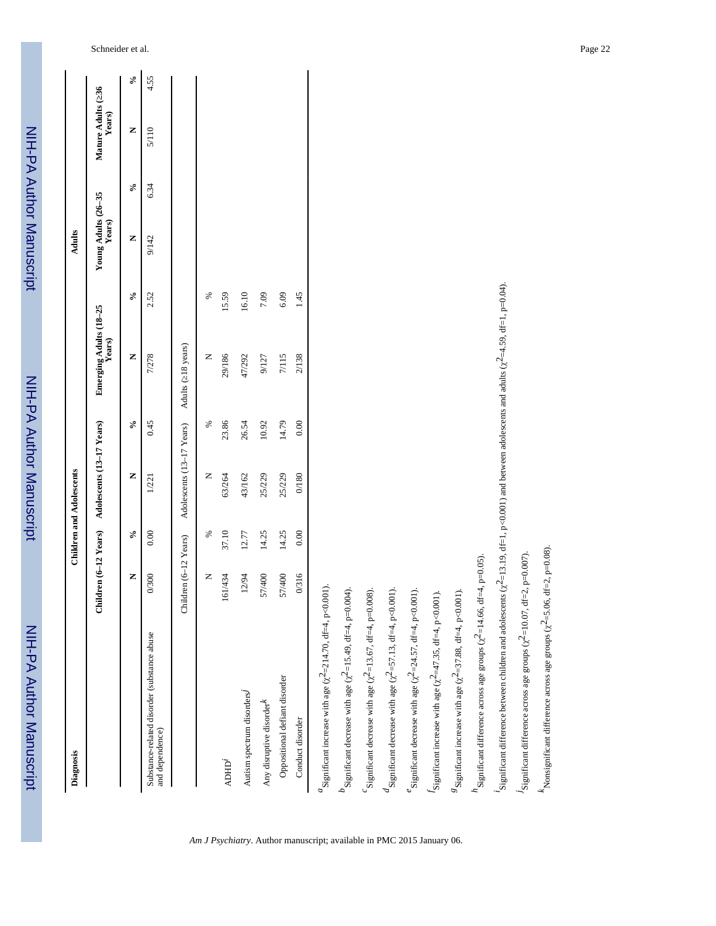| Diagnosis                                                                                                                                                  |                       |        | <b>Children and Adolescents</b> |        |                         |        | Adults                        |                            |                              |                            |
|------------------------------------------------------------------------------------------------------------------------------------------------------------|-----------------------|--------|---------------------------------|--------|-------------------------|--------|-------------------------------|----------------------------|------------------------------|----------------------------|
|                                                                                                                                                            | Children (6-12 Years) |        | Adolescents (13-17 Years)       |        | Emerging Adults (18-25) |        | Young Adults (26–35<br>Years) |                            | Mature Adults (36)<br>Years) |                            |
|                                                                                                                                                            | Z                     | $\sim$ | z                               | $\sim$ | z                       | $\sim$ | z                             | $\mathcal{S}_{\mathbf{0}}$ | z                            | $\mathcal{S}_{\mathbf{0}}$ |
| Substance-related disorder (substance abuse<br>and dependence)                                                                                             | 0/300                 | 0.00   | 1/221                           | 0.45   | 7/278                   | 2.52   | 9/142                         | 6.34                       | 5/110                        | 4.55                       |
|                                                                                                                                                            | Children (6-12 Years) |        | Adolescents (13-17 Years)       |        | Adults (18 years)       |        |                               |                            |                              |                            |
|                                                                                                                                                            | Z                     | ℅      | z                               | ℅      | z                       | ℅      |                               |                            |                              |                            |
| <b>ADHD<sup>i</sup></b>                                                                                                                                    | 161/434               | 37.10  | 63/264                          | 23.86  | 29/186                  | 15.59  |                               |                            |                              |                            |
| Autism spectrum disorders <sup>j</sup>                                                                                                                     | 12/94                 | 12.77  | 43/162                          | 26.54  | 47/292                  | 16.10  |                               |                            |                              |                            |
| Any disruptive disorder $k$                                                                                                                                | 57/400                | 14.25  | 25/229                          | 10.92  | 9/127                   | 7.09   |                               |                            |                              |                            |
| Oppositional defiant disorder                                                                                                                              | 57/400                | 14.25  | 25/229                          | 14.79  | 7/115                   | 6.09   |                               |                            |                              |                            |
| Conduct disorder                                                                                                                                           | 0/316                 | 0.00   | $0/180\,$                       | 0.00   | 2/138                   | 1.45   |                               |                            |                              |                            |
| $\alpha$ Significant increase with age ( $\chi^2$ =214.70, df=4, p<0.001).                                                                                 |                       |        |                                 |        |                         |        |                               |                            |                              |                            |
| $b$ significant decrease with age ( $\chi^2$ =15.49, df=4, p=0.004).                                                                                       |                       |        |                                 |        |                         |        |                               |                            |                              |                            |
| $\mathcal{C}$ Significant decrease with age ( $\chi^2$ =13.67, df=4, p=0.008).                                                                             |                       |        |                                 |        |                         |        |                               |                            |                              |                            |
| $d_{\text{Significant decrease with age}}$ ( $\chi^2$ =57.13, df=4, p<0.001).                                                                              |                       |        |                                 |        |                         |        |                               |                            |                              |                            |
| Significant decrease with age $(\chi^2 = 24.57, df = 4, p < 0.001)$ .                                                                                      |                       |        |                                 |        |                         |        |                               |                            |                              |                            |
| $J$ Significant increase with age ( $\chi^2$ =47.35, df=4, p<0.001)                                                                                        |                       |        |                                 |        |                         |        |                               |                            |                              |                            |
| ${}^8$ Significant increase with age ( $\chi^2$ =37.88, df=4, p<0.001)                                                                                     |                       |        |                                 |        |                         |        |                               |                            |                              |                            |
| $n_{\text{Significant difference across age groups}}$ ( $\chi^2$ =14.66, df=4, p=0.05).                                                                    |                       |        |                                 |        |                         |        |                               |                            |                              |                            |
| Significant difference between children and adolescents $(\chi^2=13.19, df=1, p<0.001)$ and between adolescents and adults $(\chi^2=4.59, df=1, p=0.04)$ . |                       |        |                                 |        |                         |        |                               |                            |                              |                            |
| $J$ Significant difference across age groups ( $\chi^2$ =10.07, df=2, p=0.007).                                                                            |                       |        |                                 |        |                         |        |                               |                            |                              |                            |
| $k$ Nonsignificant difference across age groups ( $\chi^2$ =5.06, df=2, p=0.08).                                                                           |                       |        |                                 |        |                         |        |                               |                            |                              |                            |

*Am J Psychiatry*. Author manuscript; available in PMC 2015 January 06.

NIH-PA Author Manuscript NIH-PA Author Manuscript

NIH-PA Author Manuscript

NIH-PA Author Manuscript

NIH-PA Author Manuscript

NIH-PA Author Manuscript